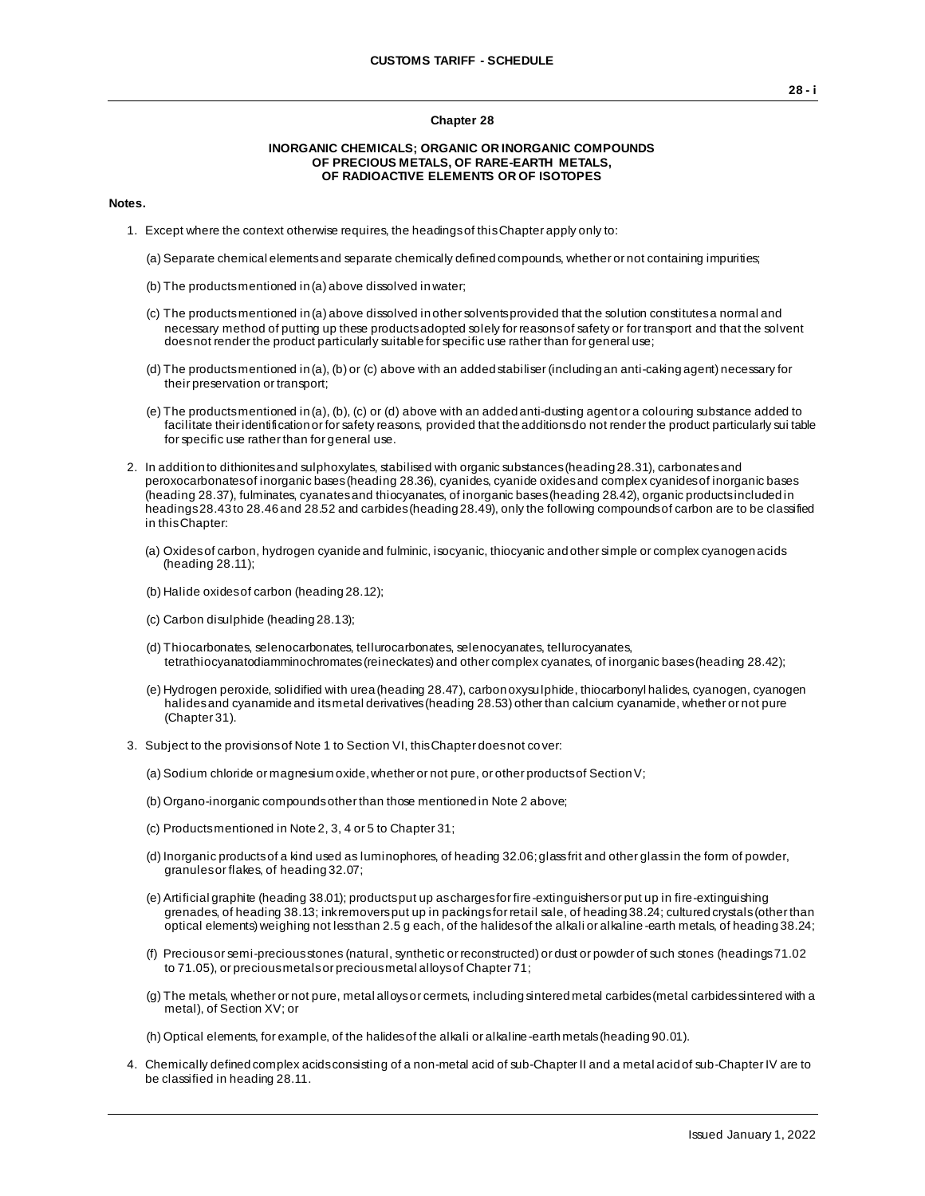#### **Chapter 28**

#### **INORGANIC CHEMICALS; ORGANIC OR INORGANIC COMPOUNDS OF PRECIOUS METALS, OF RARE-EARTH METALS, OF RADIOACTIVE ELEMENTS OR OF ISOTOPES**

#### **Notes.**

- 1. Except where the context otherwise requires, the headings of this Chapter apply only to:
	- (a) Separate chemical elements and separate chemically defined compounds, whether or not containing impurities;
	- (b) The products mentioned in (a) above dissolved in water;
	- (c) The products mentioned in (a) above dissolved in other solvents provided that the solution constitutes a normal and necessary method of putting up these products adopted solely for reasons of safety or for transport and that the solvent does not render the product particularly suitable for specific use rather than for general use;
	- (d) The products mentioned in (a), (b) or (c) above with an added stabiliser (including an anti-caking agent) necessary for their preservation or transport;
	- (e) The products mentioned in (a), (b), (c) or (d) above with an added anti-dusting agent or a colouring substance added to facilitate their identification or for safety reasons, provided that the additions do not render the product particularly sui table for specific use rather than for general use.
- 2. In addition to dithionites and sulphoxylates, stabilised with organic substances (heading 28.31), carbonates and peroxocarbonates of inorganic bases (heading 28.36), cyanides, cyanide oxides and complex cyanides of inorganic bases (heading 28.37), fulminates, cyanates and thiocyanates, of inorganic bases (heading 28.42), organic products included in headings 28.43 to 28.46 and 28.52 and carbides (heading 28.49), only the following compounds of carbon are to be classified in this Chapter:
	- (a) Oxides of carbon, hydrogen cyanide and fulminic, isocyanic, thiocyanic and other simple or complex cyanogen acids (heading 28.11);
	- (b) Halide oxides of carbon (heading 28.12);
	- (c) Carbon disulphide (heading 28.13);
	- (d) Thiocarbonates, selenocarbonates, tellurocarbonates, selenocyanates, tellurocyanates, tetrathiocyanatodiamminochromates (reineckates) and other complex cyanates, of inorganic bases (heading 28.42);
	- (e) Hydrogen peroxide, solidified with urea (heading 28.47), carbon oxysulphide, thiocarbonyl halides, cyanogen, cyanogen halides and cyanamide and its metal derivatives (heading 28.53) other than calcium cyanamide, whether or not pure (Chapter 31).
- 3. Subject to the provisions of Note 1 to Section VI, this Chapter does not cover:
	- (a) Sodium chloride or magnesium oxide, whether or not pure, or other products of Section V;
	- (b) Organo-inorganic compounds other than those mentioned in Note 2 above;
	- (c) Products mentioned in Note 2, 3, 4 or 5 to Chapter 31;
	- (d) Inorganic products of a kind used as luminophores, of heading 32.06; glass frit and other glass in the form of powder, granules or flakes, of heading 32.07;
	- (e) Artificial graphite (heading 38.01); products put up as charges for fire-extinguishers or put up in fire-extinguishing grenades, of heading 38.13; ink removers put up in packings for retail sale, of heading 38.24; cultured crystals (other than optical elements) weighing not less than 2.5 g each, of the halides of the alkali or alkaline -earth metals, of heading 38.24;
	- (f) Precious or semi-precious stones (natural, synthetic or reconstructed) or dust or powder of such stones (headings 71.02 to 71.05), or precious metals or precious metal alloys of Chapter 71;
	- (g) The metals, whether or not pure, metal alloys or cermets, including sintered metal carbides (metal carbides sintered with a metal), of Section XV; or

(h) Optical elements, for example, of the halides of the alkali or alkaline-earth metals (heading 90.01).

4. Chemically defined complex acids consisting of a non-metal acid of sub-Chapter II and a metal acid of sub-Chapter IV are to be classified in heading 28.11.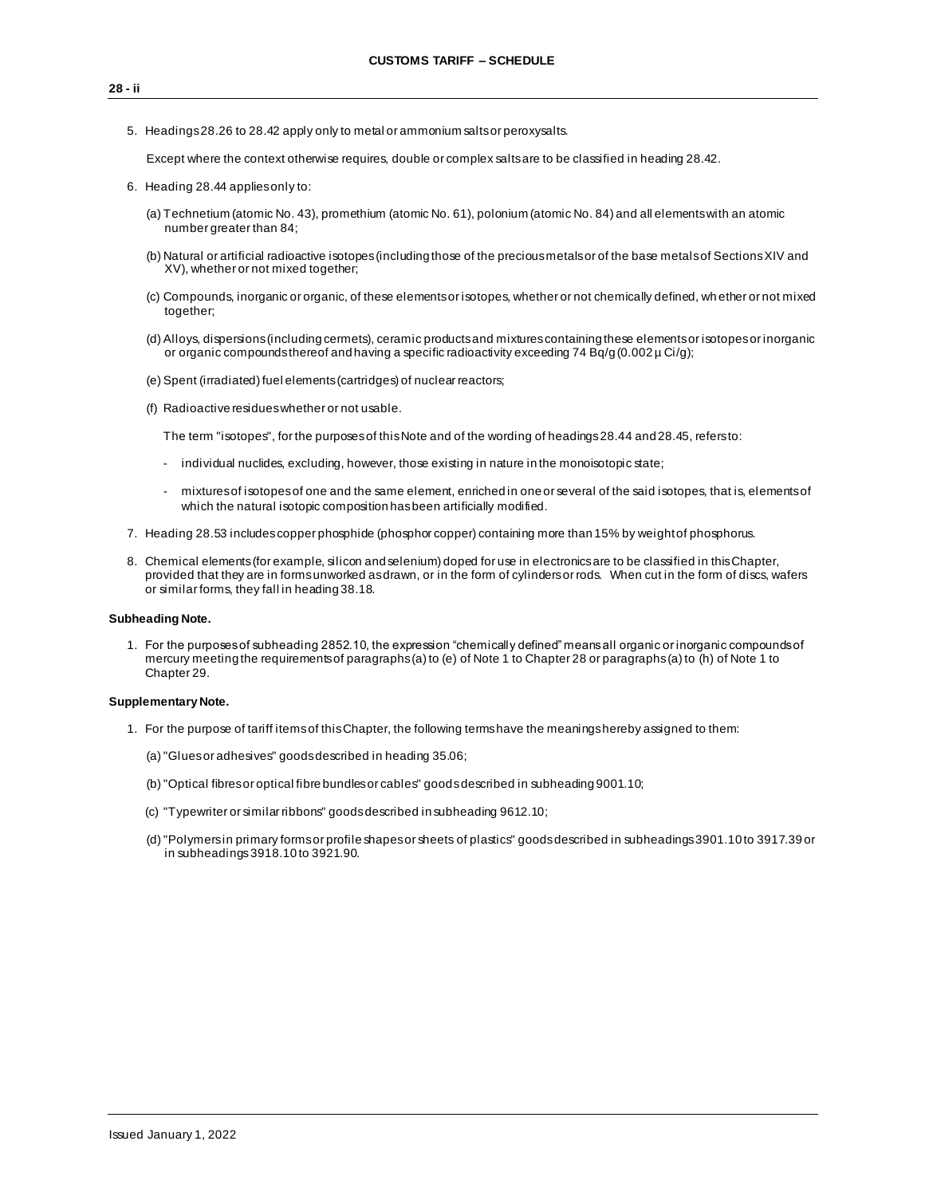5. Headings 28.26 to 28.42 apply only to metal or ammonium salts or peroxysalts.

Except where the context otherwise requires, double or complex salts are to be classified in heading 28.42.

- 6. Heading 28.44 applies only to:
	- (a) Technetium (atomic No. 43), promethium (atomic No. 61), polonium (atomic No. 84) and all elements with an atomic number greater than 84:
	- (b) Natural or artificial radioactive isotopes (including those of the precious metals or of the base metals of Sections XIV and XV), whether or not mixed together;
	- (c) Compounds, inorganic or organic, of these elements or isotopes, whether or not chemically defined, wh ether or not mixed together;
	- (d) Alloys, dispersions (including cermets), ceramic products and mixtures containing these elements or isotopes or inorganic or organic compounds thereof and having a specific radioactivity exceeding 74 Bq/g (0.002 µ Ci/g);
	- (e) Spent (irradiated) fuel elements (cartridges) of nuclear reactors;
	- (f) Radioactive residues whether or not usable.

The term "isotopes", for the purposes of this Note and of the wording of headings 28.44 and 28.45, refers to:

- individual nuclides, excluding, however, those existing in nature in the monoisotopic state;
- mixtures of isotopes of one and the same element, enriched in one or several of the said isotopes, that is, elements of which the natural isotopic composition has been artificially modified.
- 7. Heading 28.53 includes copper phosphide (phosphor copper) containing more than 15% by weight of phosphorus.
- 8. Chemical elements (for example, silicon and selenium) doped for use in electronics are to be classified in this Chapter, provided that they are in forms unworked as drawn, or in the form of cylinders or rods. When cut in the form of discs, wafers or similar forms, they fall in heading 38.18.

### **Subheading Note.**

1. For the purposes of subheading 2852.10, the expression "chemically defined" means all organic or inorganic compounds of mercury meeting the requirements of paragraphs (a) to (e) of Note 1 to Chapter 28 or paragraphs (a) to (h) of Note 1 to Chapter 29.

#### **Supplementary Note.**

- 1. For the purpose of tariff items of this Chapter, the following terms have the meanings hereby assigned to them:
	- (a)"Glues or adhesives" goods described in heading 35.06;
	- (b)"Optical fibres or optical fibre bundles or cables" goods described in subheading 9001.10;
	- (c) "Typewriter or similar ribbons" goods described in subheading 9612.10;
	- (d)"Polymers in primary forms or profile shapes or sheets of plastics" goods described in subheadings 3901.10 to 3917.39 or in subheadings 3918.10 to 3921.90.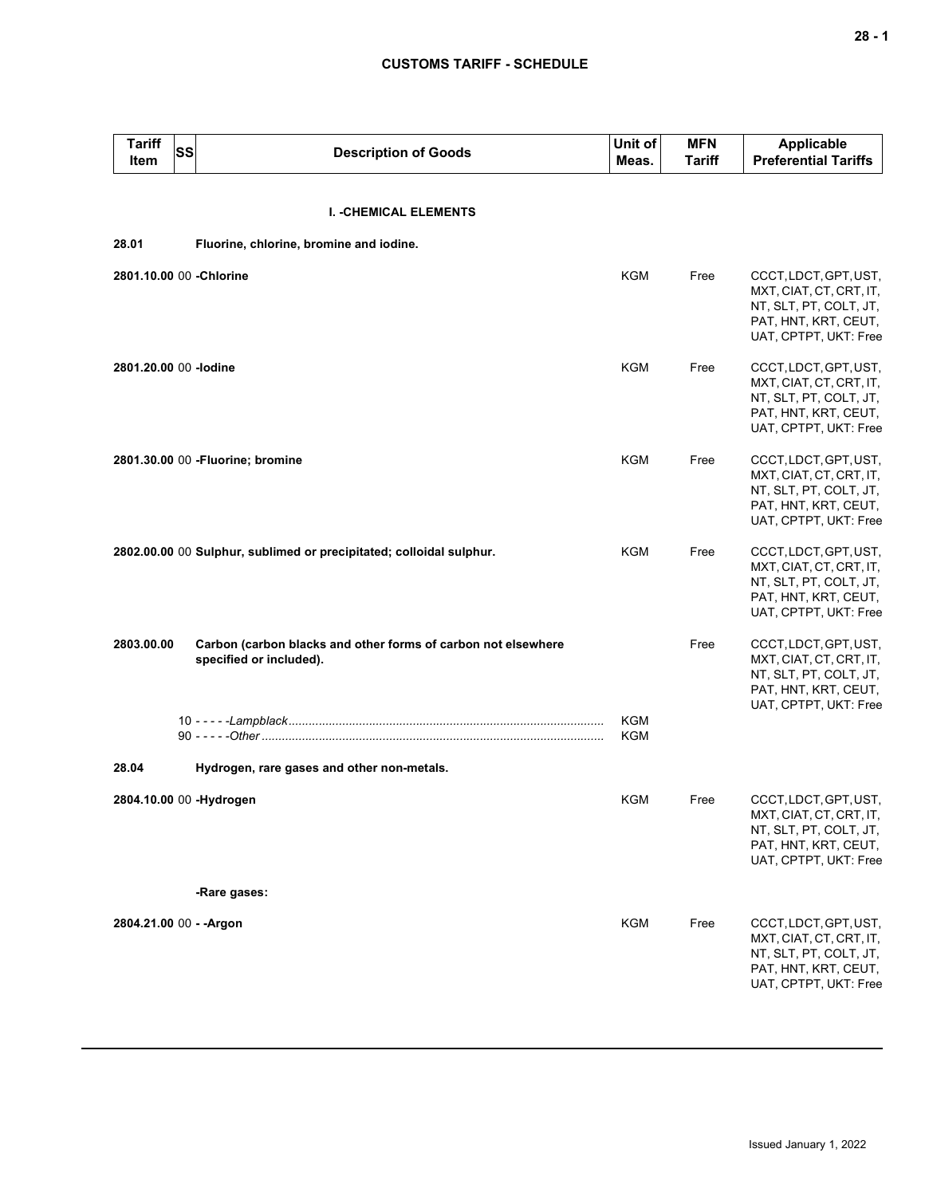| <b>Tariff</b><br>Item    | SS<br><b>Description of Goods</b>                                                        | Unit of<br>Meas. | <b>MFN</b><br><b>Tariff</b> | <b>Applicable</b><br><b>Preferential Tariffs</b>                                                                            |
|--------------------------|------------------------------------------------------------------------------------------|------------------|-----------------------------|-----------------------------------------------------------------------------------------------------------------------------|
|                          | <b>I. - CHEMICAL ELEMENTS</b>                                                            |                  |                             |                                                                                                                             |
| 28.01                    | Fluorine, chlorine, bromine and iodine.                                                  |                  |                             |                                                                                                                             |
| 2801.10.00 00 - Chlorine |                                                                                          | KGM              | Free                        | CCCT, LDCT, GPT, UST,<br>MXT, CIAT, CT, CRT, IT,<br>NT, SLT, PT, COLT, JT,<br>PAT, HNT, KRT, CEUT,<br>UAT, CPTPT, UKT: Free |
| 2801.20.00 00 -lodine    |                                                                                          | <b>KGM</b>       | Free                        | CCCT, LDCT, GPT, UST,<br>MXT, CIAT, CT, CRT, IT,<br>NT, SLT, PT, COLT, JT,<br>PAT, HNT, KRT, CEUT,<br>UAT, CPTPT, UKT: Free |
|                          | 2801.30.00 00 - Fluorine; bromine                                                        | <b>KGM</b>       | Free                        | CCCT, LDCT, GPT, UST,<br>MXT, CIAT, CT, CRT, IT,<br>NT, SLT, PT, COLT, JT,<br>PAT, HNT, KRT, CEUT,<br>UAT, CPTPT, UKT: Free |
|                          | 2802.00.00 00 Sulphur, sublimed or precipitated; colloidal sulphur.                      | KGM              | Free                        | CCCT, LDCT, GPT, UST,<br>MXT, CIAT, CT, CRT, IT,<br>NT, SLT, PT, COLT, JT,<br>PAT, HNT, KRT, CEUT,<br>UAT, CPTPT, UKT: Free |
| 2803.00.00               | Carbon (carbon blacks and other forms of carbon not elsewhere<br>specified or included). | KGM              | Free                        | CCCT, LDCT, GPT, UST,<br>MXT, CIAT, CT, CRT, IT,<br>NT, SLT, PT, COLT, JT,<br>PAT, HNT, KRT, CEUT,<br>UAT, CPTPT, UKT: Free |
| 28.04                    | Hydrogen, rare gases and other non-metals.                                               | KGM              |                             |                                                                                                                             |
|                          | 2804.10.00 00 -Hydrogen                                                                  | KGM              | Free                        | CCCT, LDCT, GPT, UST,<br>MXT, CIAT, CT, CRT, IT,<br>NT, SLT, PT, COLT, JT,<br>PAT, HNT, KRT, CEUT,<br>UAT, CPTPT, UKT: Free |
|                          | -Rare gases:                                                                             |                  |                             |                                                                                                                             |
| 2804.21.00 00 - - Argon  |                                                                                          | KGM              | Free                        | CCCT, LDCT, GPT, UST,<br>MXT, CIAT, CT, CRT, IT,<br>NT, SLT, PT, COLT, JT,<br>PAT, HNT, KRT, CEUT,<br>UAT, CPTPT, UKT: Free |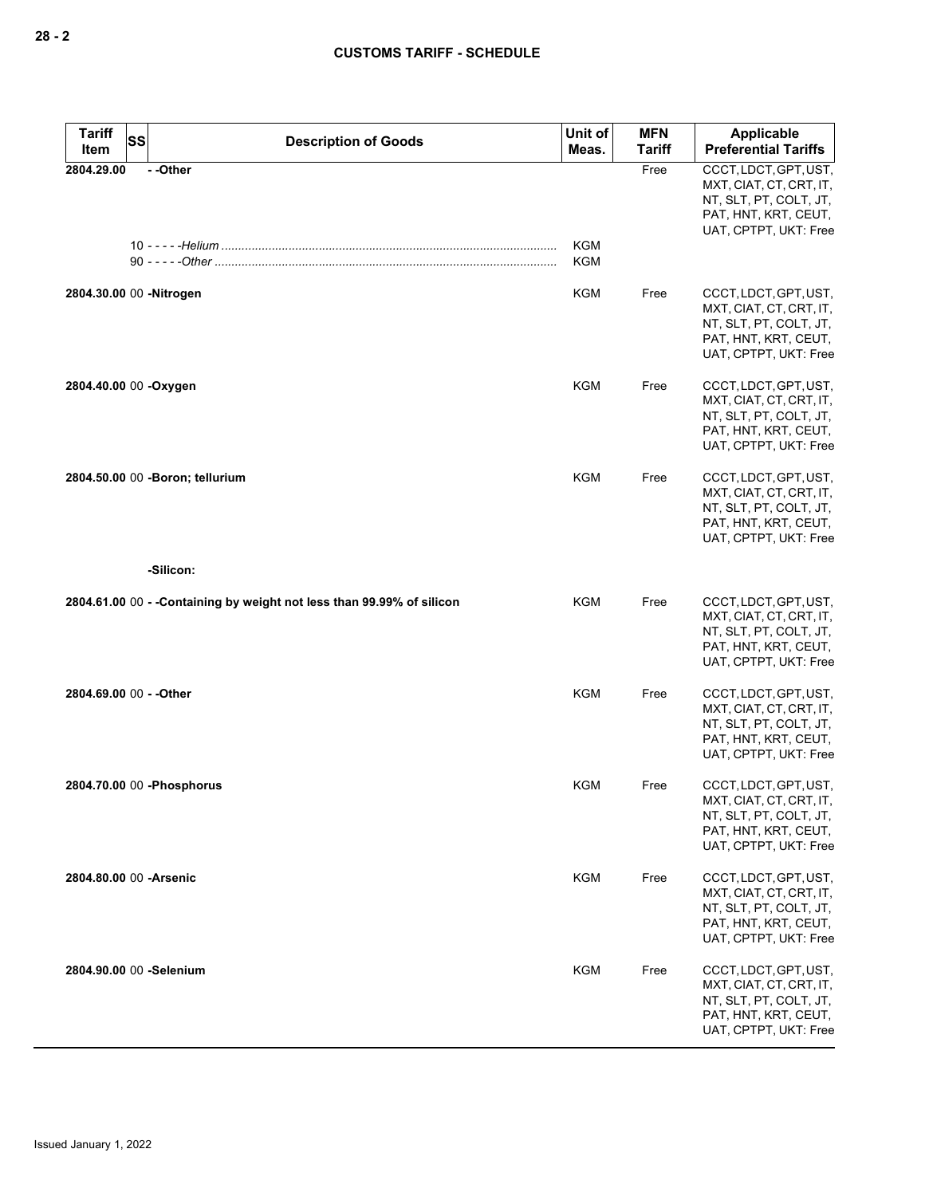| Tariff<br><b>SS</b><br>Item | <b>Description of Goods</b>                                            | Unit of<br>Meas. | <b>MFN</b><br><b>Tariff</b> | Applicable<br><b>Preferential Tariffs</b>                                                                                   |
|-----------------------------|------------------------------------------------------------------------|------------------|-----------------------------|-----------------------------------------------------------------------------------------------------------------------------|
| 2804.29.00                  | --Other                                                                | <b>KGM</b>       | Free                        | CCCT, LDCT, GPT, UST,<br>MXT, CIAT, CT, CRT, IT,<br>NT, SLT, PT, COLT, JT,<br>PAT, HNT, KRT, CEUT,<br>UAT, CPTPT, UKT: Free |
|                             |                                                                        | <b>KGM</b>       |                             |                                                                                                                             |
| 2804.30.00 00 - Nitrogen    |                                                                        | <b>KGM</b>       | Free                        | CCCT, LDCT, GPT, UST,<br>MXT, CIAT, CT, CRT, IT,<br>NT, SLT, PT, COLT, JT,<br>PAT, HNT, KRT, CEUT,<br>UAT, CPTPT, UKT: Free |
| 2804.40.00 00 - Oxygen      |                                                                        | <b>KGM</b>       | Free                        | CCCT, LDCT, GPT, UST,<br>MXT, CIAT, CT, CRT, IT,<br>NT, SLT, PT, COLT, JT,<br>PAT, HNT, KRT, CEUT,<br>UAT, CPTPT, UKT: Free |
|                             | 2804.50.00 00 - Boron; tellurium                                       | <b>KGM</b>       | Free                        | CCCT, LDCT, GPT, UST,<br>MXT, CIAT, CT, CRT, IT,<br>NT, SLT, PT, COLT, JT,<br>PAT, HNT, KRT, CEUT,<br>UAT, CPTPT, UKT: Free |
|                             | -Silicon:                                                              |                  |                             |                                                                                                                             |
|                             | 2804.61.00 00 - - Containing by weight not less than 99.99% of silicon | <b>KGM</b>       | Free                        | CCCT, LDCT, GPT, UST,<br>MXT, CIAT, CT, CRT, IT,<br>NT, SLT, PT, COLT, JT,<br>PAT, HNT, KRT, CEUT,<br>UAT, CPTPT, UKT: Free |
| 2804.69.00 00 - - Other     |                                                                        | <b>KGM</b>       | Free                        | CCCT, LDCT, GPT, UST,<br>MXT, CIAT, CT, CRT, IT,<br>NT, SLT, PT, COLT, JT,<br>PAT, HNT, KRT, CEUT,<br>UAT, CPTPT, UKT: Free |
| 2804.70.00 00 - Phosphorus  |                                                                        | KGM              | Free                        | CCCT, LDCT, GPT, UST,<br>MXT, CIAT, CT, CRT, IT,<br>NT, SLT, PT, COLT, JT,<br>PAT, HNT, KRT, CEUT,<br>UAT, CPTPT, UKT: Free |
| 2804.80.00 00 - Arsenic     |                                                                        | KGM              | Free                        | CCCT, LDCT, GPT, UST,<br>MXT, CIAT, CT, CRT, IT,<br>NT, SLT, PT, COLT, JT,<br>PAT, HNT, KRT, CEUT,<br>UAT, CPTPT, UKT: Free |
| 2804.90.00 00 -Selenium     |                                                                        | KGM              | Free                        | CCCT, LDCT, GPT, UST,<br>MXT, CIAT, CT, CRT, IT,<br>NT, SLT, PT, COLT, JT,<br>PAT, HNT, KRT, CEUT,<br>UAT, CPTPT, UKT: Free |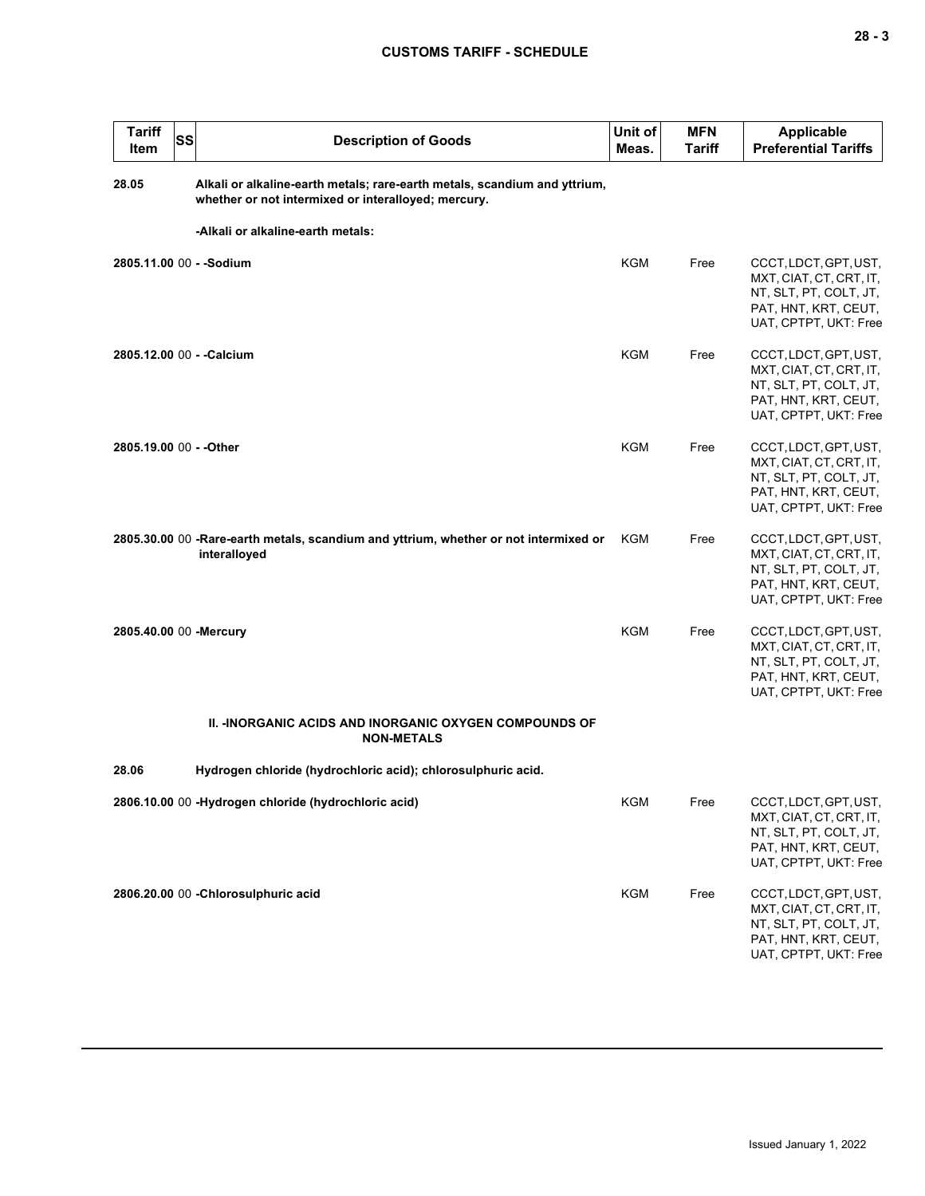| <b>Tariff</b><br>Item   | <b>SS</b> | <b>Description of Goods</b>                                                                                                      | Unit of<br>Meas. | <b>MFN</b><br><b>Tariff</b> | <b>Applicable</b><br><b>Preferential Tariffs</b>                                                                            |
|-------------------------|-----------|----------------------------------------------------------------------------------------------------------------------------------|------------------|-----------------------------|-----------------------------------------------------------------------------------------------------------------------------|
| 28.05                   |           | Alkali or alkaline-earth metals; rare-earth metals, scandium and yttrium,<br>whether or not intermixed or interalloyed; mercury. |                  |                             |                                                                                                                             |
|                         |           | -Alkali or alkaline-earth metals:                                                                                                |                  |                             |                                                                                                                             |
|                         |           | 2805.11.00 00 - - Sodium                                                                                                         | <b>KGM</b>       | Free                        | CCCT, LDCT, GPT, UST,<br>MXT, CIAT, CT, CRT, IT,<br>NT, SLT, PT, COLT, JT,<br>PAT, HNT, KRT, CEUT,<br>UAT, CPTPT, UKT: Free |
|                         |           | 2805.12.00 00 - - Calcium                                                                                                        | <b>KGM</b>       | Free                        | CCCT, LDCT, GPT, UST,<br>MXT, CIAT, CT, CRT, IT,<br>NT, SLT, PT, COLT, JT,<br>PAT, HNT, KRT, CEUT,<br>UAT, CPTPT, UKT: Free |
| 2805.19.00 00 - - Other |           |                                                                                                                                  | <b>KGM</b>       | Free                        | CCCT, LDCT, GPT, UST,<br>MXT, CIAT, CT, CRT, IT,<br>NT, SLT, PT, COLT, JT,<br>PAT, HNT, KRT, CEUT,<br>UAT, CPTPT, UKT: Free |
|                         |           | 2805.30.00 00 -Rare-earth metals, scandium and yttrium, whether or not intermixed or<br>interalloyed                             | KGM              | Free                        | CCCT, LDCT, GPT, UST,<br>MXT, CIAT, CT, CRT, IT,<br>NT, SLT, PT, COLT, JT,<br>PAT, HNT, KRT, CEUT,<br>UAT, CPTPT, UKT: Free |
| 2805.40.00 00 -Mercury  |           |                                                                                                                                  | <b>KGM</b>       | Free                        | CCCT, LDCT, GPT, UST,<br>MXT, CIAT, CT, CRT, IT,<br>NT, SLT, PT, COLT, JT,<br>PAT, HNT, KRT, CEUT,<br>UAT, CPTPT, UKT: Free |
|                         |           | <b>II. -INORGANIC ACIDS AND INORGANIC OXYGEN COMPOUNDS OF</b><br><b>NON-METALS</b>                                               |                  |                             |                                                                                                                             |
| 28.06                   |           | Hydrogen chloride (hydrochloric acid); chlorosulphuric acid.                                                                     |                  |                             |                                                                                                                             |
|                         |           | 2806.10.00 00 -Hydrogen chloride (hydrochloric acid)                                                                             | <b>KGM</b>       | Free                        | CCCT, LDCT, GPT, UST,<br>MXT, CIAT, CT, CRT, IT,<br>NT, SLT, PT, COLT, JT,<br>PAT, HNT, KRT, CEUT,<br>UAT, CPTPT, UKT: Free |
|                         |           | 2806.20.00 00 - Chlorosulphuric acid                                                                                             | KGM              | Free                        | CCCT, LDCT, GPT, UST,<br>MXT, CIAT, CT, CRT, IT,<br>NT, SLT, PT, COLT, JT,<br>PAT, HNT, KRT, CEUT,<br>UAT, CPTPT, UKT: Free |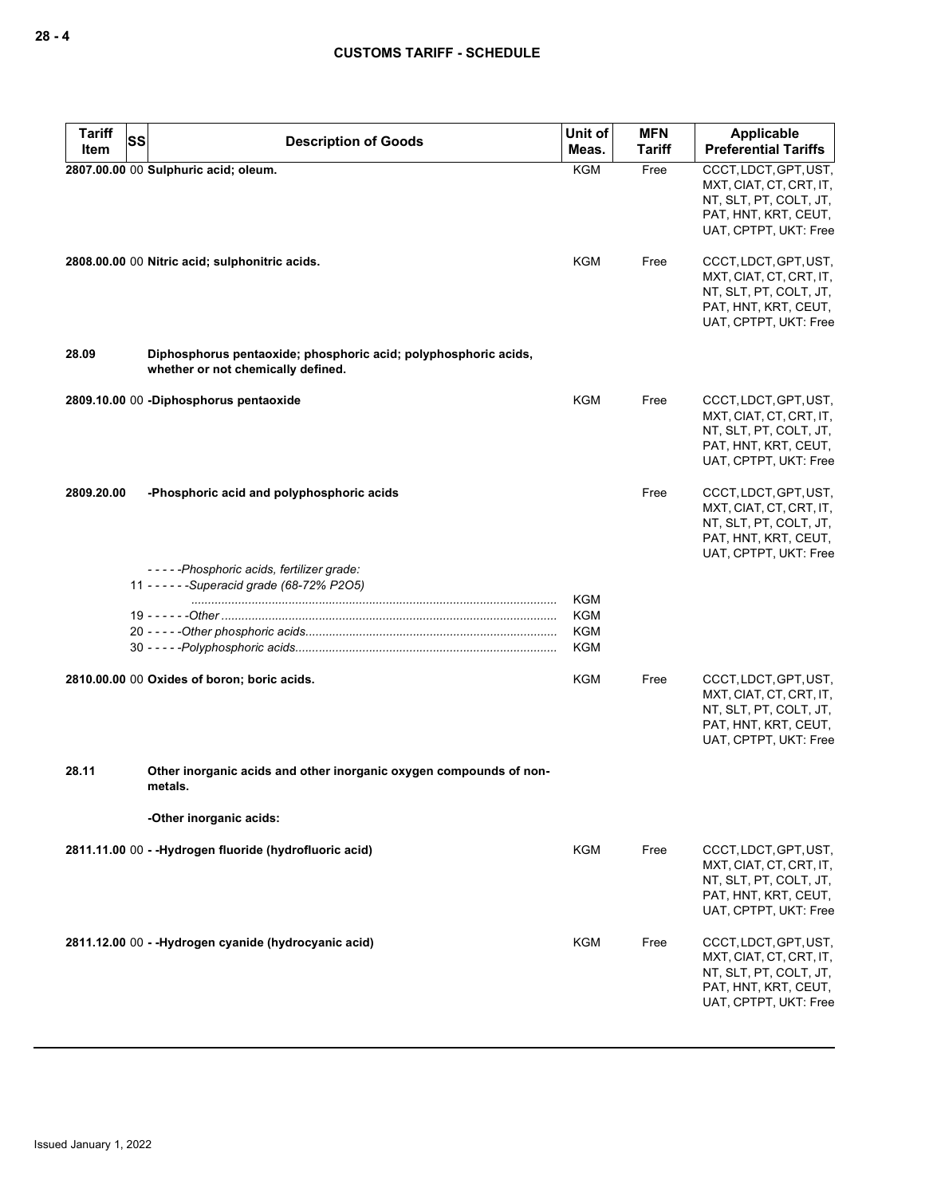| <b>Tariff</b><br>Item | SS<br><b>Description of Goods</b>                                                                     | Unit of<br>Meas.                                     | <b>MFN</b><br><b>Tariff</b> | Applicable<br><b>Preferential Tariffs</b>                                                                                   |
|-----------------------|-------------------------------------------------------------------------------------------------------|------------------------------------------------------|-----------------------------|-----------------------------------------------------------------------------------------------------------------------------|
|                       | 2807.00.00 00 Sulphuric acid; oleum.                                                                  | KGM                                                  | Free                        | CCCT, LDCT, GPT, UST,<br>MXT, CIAT, CT, CRT, IT,<br>NT, SLT, PT, COLT, JT,<br>PAT, HNT, KRT, CEUT,<br>UAT, CPTPT, UKT: Free |
|                       | 2808.00.00 00 Nitric acid; sulphonitric acids.                                                        | KGM                                                  | Free                        | CCCT, LDCT, GPT, UST,<br>MXT, CIAT, CT, CRT, IT,<br>NT, SLT, PT, COLT, JT,<br>PAT, HNT, KRT, CEUT,<br>UAT, CPTPT, UKT: Free |
| 28.09                 | Diphosphorus pentaoxide; phosphoric acid; polyphosphoric acids,<br>whether or not chemically defined. |                                                      |                             |                                                                                                                             |
|                       | 2809.10.00 00 -Diphosphorus pentaoxide                                                                | <b>KGM</b>                                           | Free                        | CCCT, LDCT, GPT, UST,<br>MXT, CIAT, CT, CRT, IT,<br>NT, SLT, PT, COLT, JT,<br>PAT, HNT, KRT, CEUT,<br>UAT, CPTPT, UKT: Free |
| 2809.20.00            | -Phosphoric acid and polyphosphoric acids                                                             |                                                      | Free                        | CCCT, LDCT, GPT, UST,<br>MXT, CIAT, CT, CRT, IT,<br>NT, SLT, PT, COLT, JT,<br>PAT, HNT, KRT, CEUT,<br>UAT, CPTPT, UKT: Free |
|                       | -----Phosphoric acids, fertilizer grade:<br>11 - - - - - - Superacid grade (68-72% P2O5)              | <b>KGM</b><br><b>KGM</b><br><b>KGM</b><br><b>KGM</b> |                             |                                                                                                                             |
|                       | 2810.00.00 00 Oxides of boron; boric acids.                                                           | <b>KGM</b>                                           | Free                        | CCCT, LDCT, GPT, UST,<br>MXT, CIAT, CT, CRT, IT,<br>NT, SLT, PT, COLT, JT,<br>PAT, HNT, KRT, CEUT,<br>UAT, CPTPT, UKT: Free |
| 28.11                 | Other inorganic acids and other inorganic oxygen compounds of non-<br>metals.                         |                                                      |                             |                                                                                                                             |
|                       | -Other inorganic acids:                                                                               |                                                      |                             |                                                                                                                             |
|                       | 2811.11.00 00 - - Hydrogen fluoride (hydrofluoric acid)                                               | <b>KGM</b>                                           | Free                        | CCCT, LDCT, GPT, UST,<br>MXT, CIAT, CT, CRT, IT,<br>NT, SLT, PT, COLT, JT,<br>PAT, HNT, KRT, CEUT,<br>UAT, CPTPT, UKT: Free |
|                       | 2811.12.00 00 - - Hydrogen cyanide (hydrocyanic acid)                                                 | KGM                                                  | Free                        | CCCT, LDCT, GPT, UST,<br>MXT, CIAT, CT, CRT, IT,<br>NT, SLT, PT, COLT, JT,<br>PAT, HNT, KRT, CEUT,<br>UAT, CPTPT, UKT: Free |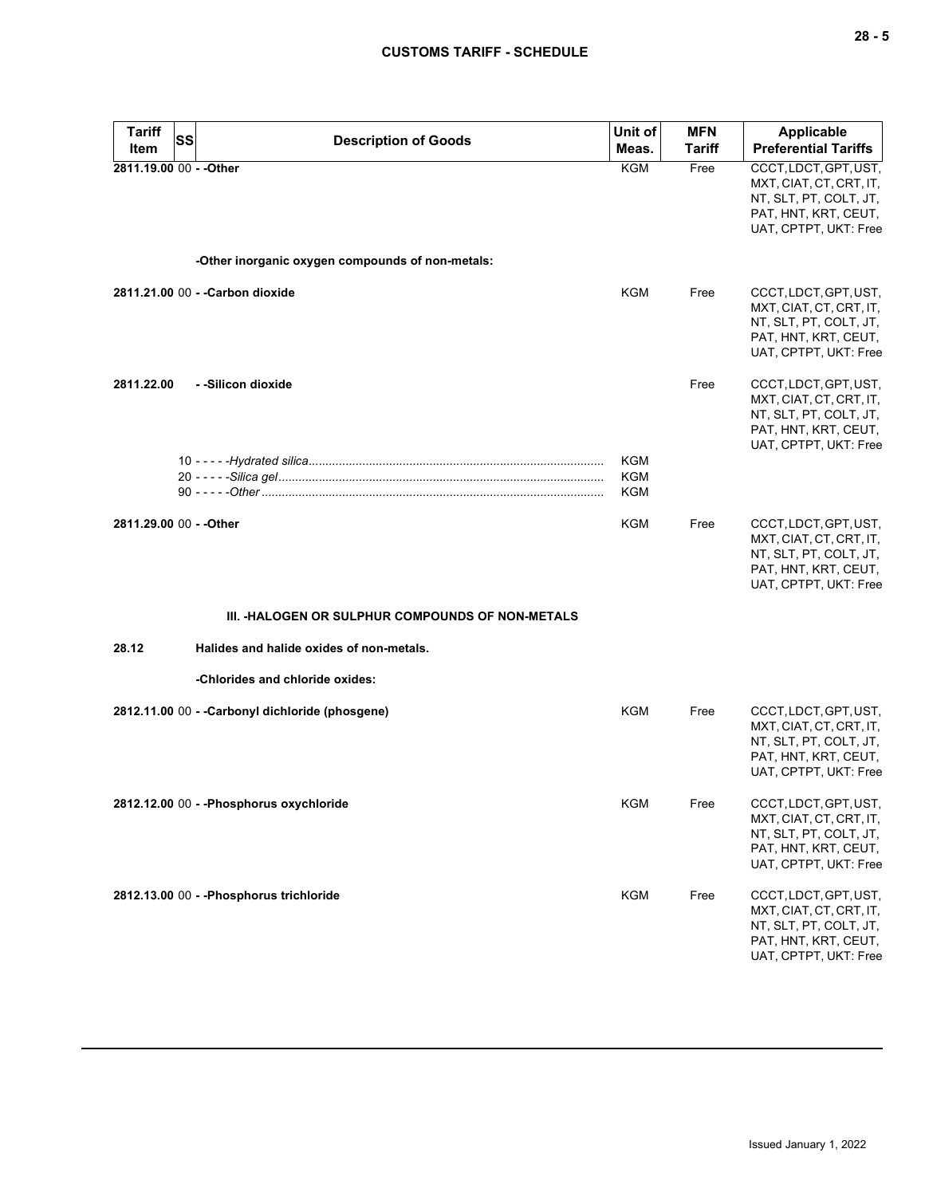| <b>Tariff</b><br>Item   | SS | <b>Description of Goods</b>                             | Unit of<br>Meas.  | <b>MFN</b><br>Tariff | <b>Applicable</b><br><b>Preferential Tariffs</b>                                                                            |
|-------------------------|----|---------------------------------------------------------|-------------------|----------------------|-----------------------------------------------------------------------------------------------------------------------------|
| 2811.19.00 00 - - Other |    |                                                         | KGM               | Free                 | CCCT, LDCT, GPT, UST,<br>MXT, CIAT, CT, CRT, IT,<br>NT, SLT, PT, COLT, JT,<br>PAT, HNT, KRT, CEUT,<br>UAT, CPTPT, UKT: Free |
|                         |    | -Other inorganic oxygen compounds of non-metals:        |                   |                      |                                                                                                                             |
|                         |    | 2811.21.00 00 - - Carbon dioxide                        | KGM               | Free                 | CCCT, LDCT, GPT, UST,<br>MXT, CIAT, CT, CRT, IT,<br>NT, SLT, PT, COLT, JT,<br>PAT, HNT, KRT, CEUT,<br>UAT, CPTPT, UKT: Free |
| 2811.22.00              |    | - -Silicon dioxide                                      |                   | Free                 | CCCT, LDCT, GPT, UST,<br>MXT, CIAT, CT, CRT, IT,<br>NT, SLT, PT, COLT, JT,<br>PAT, HNT, KRT, CEUT,<br>UAT, CPTPT, UKT: Free |
|                         |    |                                                         | KGM<br>KGM<br>KGM |                      |                                                                                                                             |
| 2811.29.00 00 - - Other |    |                                                         | KGM               | Free                 | CCCT, LDCT, GPT, UST,<br>MXT, CIAT, CT, CRT, IT,<br>NT, SLT, PT, COLT, JT,<br>PAT, HNT, KRT, CEUT,<br>UAT, CPTPT, UKT: Free |
|                         |    | <b>III. -HALOGEN OR SULPHUR COMPOUNDS OF NON-METALS</b> |                   |                      |                                                                                                                             |
| 28.12                   |    | Halides and halide oxides of non-metals.                |                   |                      |                                                                                                                             |
|                         |    | -Chlorides and chloride oxides:                         |                   |                      |                                                                                                                             |
|                         |    | 2812.11.00 00 - - Carbonyl dichloride (phosgene)        | <b>KGM</b>        | Free                 | CCCT, LDCT, GPT, UST,<br>MXT, CIAT, CT, CRT, IT,<br>NT, SLT, PT, COLT, JT,<br>PAT, HNT, KRT, CEUT,<br>UAT, CPTPT, UKT: Free |
|                         |    | 2812.12.00 00 - - Phosphorus oxychloride                | KGM               | Free                 | CCCT, LDCT, GPT, UST,<br>MXT, CIAT, CT, CRT, IT,<br>NT, SLT, PT, COLT, JT,<br>PAT, HNT, KRT, CEUT,<br>UAT, CPTPT, UKT: Free |
|                         |    | 2812.13.00 00 - - Phosphorus trichloride                | <b>KGM</b>        | Free                 | CCCT, LDCT, GPT, UST,<br>MXT, CIAT, CT, CRT, IT,<br>NT, SLT, PT, COLT, JT,<br>PAT, HNT, KRT, CEUT,<br>UAT, CPTPT, UKT: Free |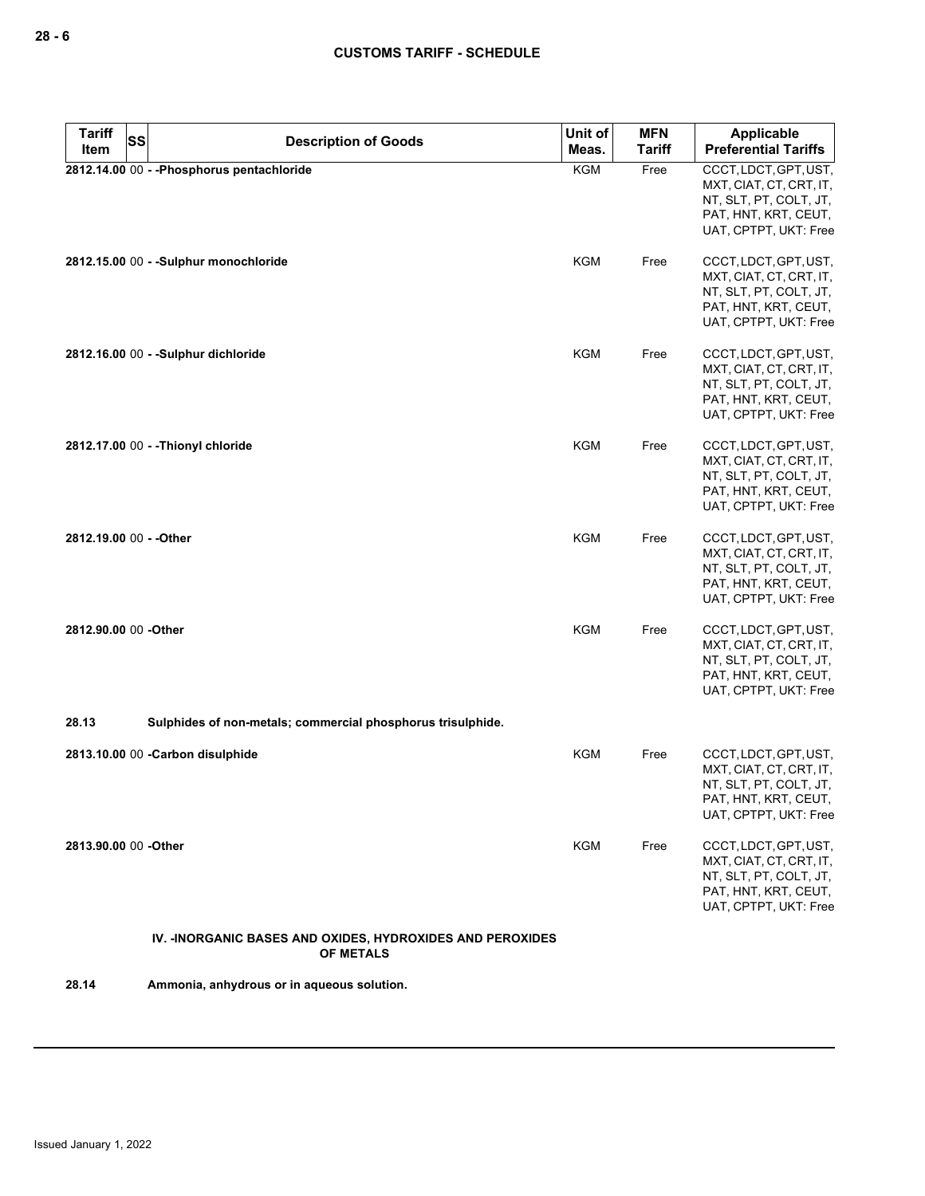| <b>Tariff</b>           | <b>SS</b><br><b>Description of Goods</b>                                       | Unit of    | <b>MFN</b>    | Applicable                                                                                                                  |
|-------------------------|--------------------------------------------------------------------------------|------------|---------------|-----------------------------------------------------------------------------------------------------------------------------|
| Item                    |                                                                                | Meas.      | <b>Tariff</b> | <b>Preferential Tariffs</b>                                                                                                 |
|                         | 2812.14.00 00 - - Phosphorus pentachloride                                     | KGM        | Free          | CCCT, LDCT, GPT, UST,<br>MXT, CIAT, CT, CRT, IT,<br>NT, SLT, PT, COLT, JT,<br>PAT, HNT, KRT, CEUT,<br>UAT, CPTPT, UKT: Free |
|                         | 2812.15.00 00 - - Sulphur monochloride                                         | KGM        | Free          | CCCT, LDCT, GPT, UST,<br>MXT, CIAT, CT, CRT, IT,<br>NT, SLT, PT, COLT, JT,<br>PAT, HNT, KRT, CEUT,<br>UAT, CPTPT, UKT: Free |
|                         | 2812.16.00 00 - - Sulphur dichloride                                           | <b>KGM</b> | Free          | CCCT, LDCT, GPT, UST,<br>MXT, CIAT, CT, CRT, IT,<br>NT, SLT, PT, COLT, JT,<br>PAT, HNT, KRT, CEUT,<br>UAT, CPTPT, UKT: Free |
|                         | 2812.17.00 00 - - Thionyl chloride                                             | KGM        | Free          | CCCT, LDCT, GPT, UST,<br>MXT, CIAT, CT, CRT, IT,<br>NT, SLT, PT, COLT, JT,<br>PAT, HNT, KRT, CEUT,<br>UAT, CPTPT, UKT: Free |
| 2812.19.00 00 - - Other |                                                                                | <b>KGM</b> | Free          | CCCT, LDCT, GPT, UST,<br>MXT, CIAT, CT, CRT, IT,<br>NT, SLT, PT, COLT, JT,<br>PAT, HNT, KRT, CEUT,<br>UAT, CPTPT, UKT: Free |
| 2812.90.00 00 -Other    |                                                                                | <b>KGM</b> | Free          | CCCT, LDCT, GPT, UST,<br>MXT, CIAT, CT, CRT, IT,<br>NT, SLT, PT, COLT, JT,<br>PAT, HNT, KRT, CEUT,<br>UAT, CPTPT, UKT: Free |
| 28.13                   | Sulphides of non-metals; commercial phosphorus trisulphide.                    |            |               |                                                                                                                             |
|                         | 2813.10.00 00 - Carbon disulphide                                              | KGM        | Free          | CCCT, LDCT, GPT, UST,<br>MXT, CIAT, CT, CRT, IT,<br>NT, SLT, PT, COLT, JT,<br>PAT, HNT, KRT, CEUT,<br>UAT, CPTPT, UKT: Free |
| 2813.90.00 00 -Other    |                                                                                | KGM        | Free          | CCCT, LDCT, GPT, UST,<br>MXT, CIAT, CT, CRT, IT,<br>NT, SLT, PT, COLT, JT,<br>PAT, HNT, KRT, CEUT,<br>UAT, CPTPT, UKT: Free |
|                         | IV. - INORGANIC BASES AND OXIDES, HYDROXIDES AND PEROXIDES<br><b>OF METALS</b> |            |               |                                                                                                                             |
| 28.14                   | Ammonia, anhydrous or in aqueous solution.                                     |            |               |                                                                                                                             |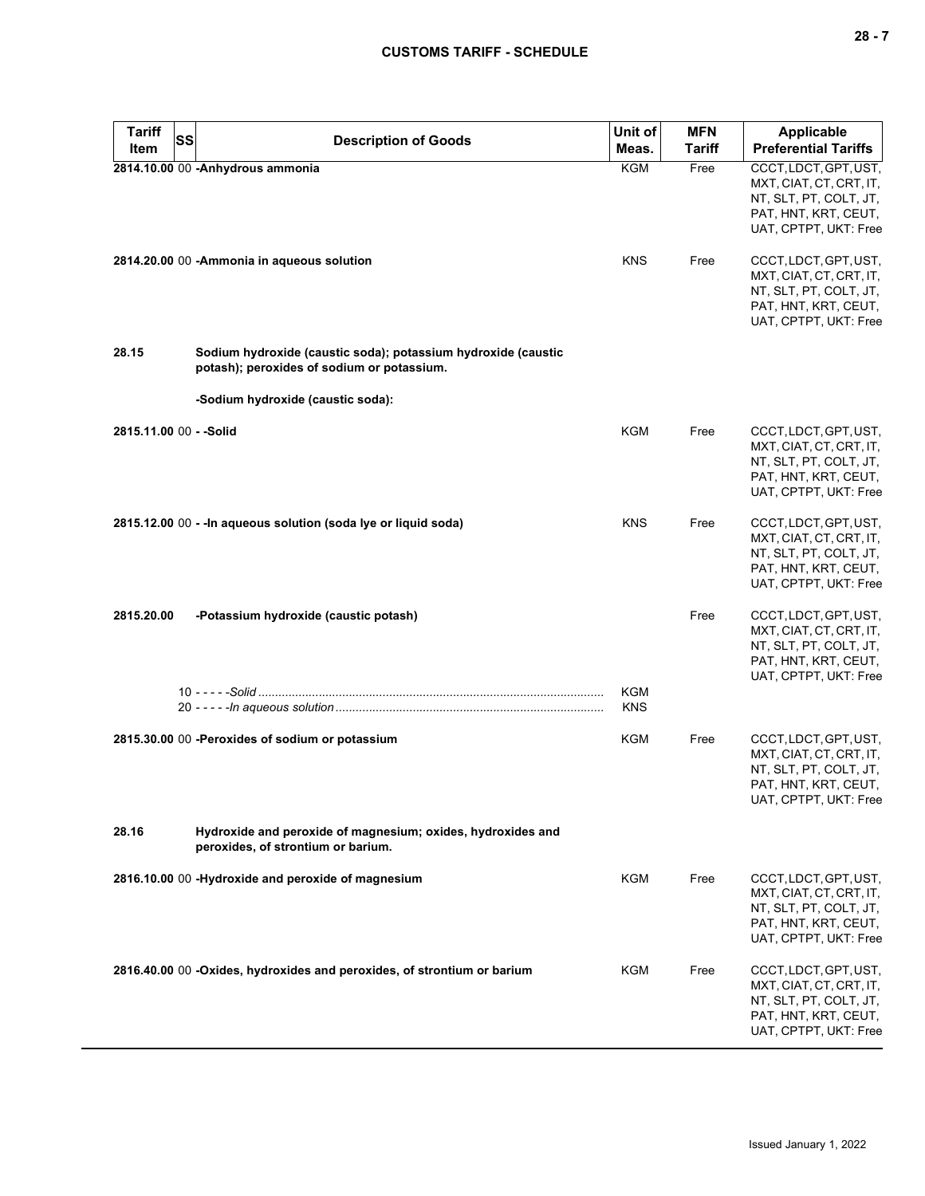| <b>Tariff</b>           | SS                                                 | <b>Description of Goods</b>                                                                                 | Unit of                  | <b>MFN</b>    | <b>Applicable</b>                                                                                                           |
|-------------------------|----------------------------------------------------|-------------------------------------------------------------------------------------------------------------|--------------------------|---------------|-----------------------------------------------------------------------------------------------------------------------------|
| Item                    |                                                    |                                                                                                             | Meas.                    | <b>Tariff</b> | <b>Preferential Tariffs</b>                                                                                                 |
|                         | 2814.10.00 00 -Anhydrous ammonia                   |                                                                                                             | <b>KGM</b>               | Free          | CCCT, LDCT, GPT, UST,<br>MXT, CIAT, CT, CRT, IT,<br>NT, SLT, PT, COLT, JT,<br>PAT, HNT, KRT, CEUT,<br>UAT, CPTPT, UKT: Free |
|                         | 2814.20.00 00 - Ammonia in aqueous solution        |                                                                                                             | <b>KNS</b>               | Free          | CCCT, LDCT, GPT, UST,<br>MXT, CIAT, CT, CRT, IT,<br>NT, SLT, PT, COLT, JT,<br>PAT, HNT, KRT, CEUT,<br>UAT, CPTPT, UKT: Free |
| 28.15                   |                                                    | Sodium hydroxide (caustic soda); potassium hydroxide (caustic<br>potash); peroxides of sodium or potassium. |                          |               |                                                                                                                             |
|                         | -Sodium hydroxide (caustic soda):                  |                                                                                                             |                          |               |                                                                                                                             |
| 2815.11.00 00 - - Solid |                                                    |                                                                                                             | KGM                      | Free          | CCCT, LDCT, GPT, UST,<br>MXT, CIAT, CT, CRT, IT,<br>NT, SLT, PT, COLT, JT,<br>PAT, HNT, KRT, CEUT,<br>UAT, CPTPT, UKT: Free |
|                         |                                                    | 2815.12.00 00 - - In aqueous solution (soda Ive or liquid soda)                                             | <b>KNS</b>               | Free          | CCCT, LDCT, GPT, UST,<br>MXT, CIAT, CT, CRT, IT,<br>NT, SLT, PT, COLT, JT,<br>PAT, HNT, KRT, CEUT,<br>UAT, CPTPT, UKT: Free |
| 2815.20.00              | -Potassium hydroxide (caustic potash)              |                                                                                                             |                          | Free          | CCCT, LDCT, GPT, UST,<br>MXT, CIAT, CT, CRT, IT,<br>NT, SLT, PT, COLT, JT,<br>PAT, HNT, KRT, CEUT,<br>UAT, CPTPT, UKT: Free |
|                         |                                                    |                                                                                                             | <b>KGM</b><br><b>KNS</b> |               |                                                                                                                             |
|                         | 2815.30.00 00 -Peroxides of sodium or potassium    |                                                                                                             | <b>KGM</b>               | Free          | CCCT, LDCT, GPT, UST,<br>MXT, CIAT, CT, CRT, IT,<br>NT, SLT, PT, COLT, JT,<br>PAT, HNT, KRT, CEUT,<br>UAT, CPTPT, UKT: Free |
| 28.16                   | peroxides, of strontium or barium.                 | Hydroxide and peroxide of magnesium; oxides, hydroxides and                                                 |                          |               |                                                                                                                             |
|                         | 2816.10.00 00 -Hydroxide and peroxide of magnesium |                                                                                                             | KGM                      | Free          | CCCT, LDCT, GPT, UST,<br>MXT, CIAT, CT, CRT, IT,<br>NT, SLT, PT, COLT, JT,<br>PAT, HNT, KRT, CEUT,<br>UAT, CPTPT, UKT: Free |
|                         |                                                    | 2816.40.00 00 -Oxides, hydroxides and peroxides, of strontium or barium                                     | KGM                      | Free          | CCCT, LDCT, GPT, UST,<br>MXT, CIAT, CT, CRT, IT,<br>NT, SLT, PT, COLT, JT,<br>PAT, HNT, KRT, CEUT,<br>UAT, CPTPT, UKT: Free |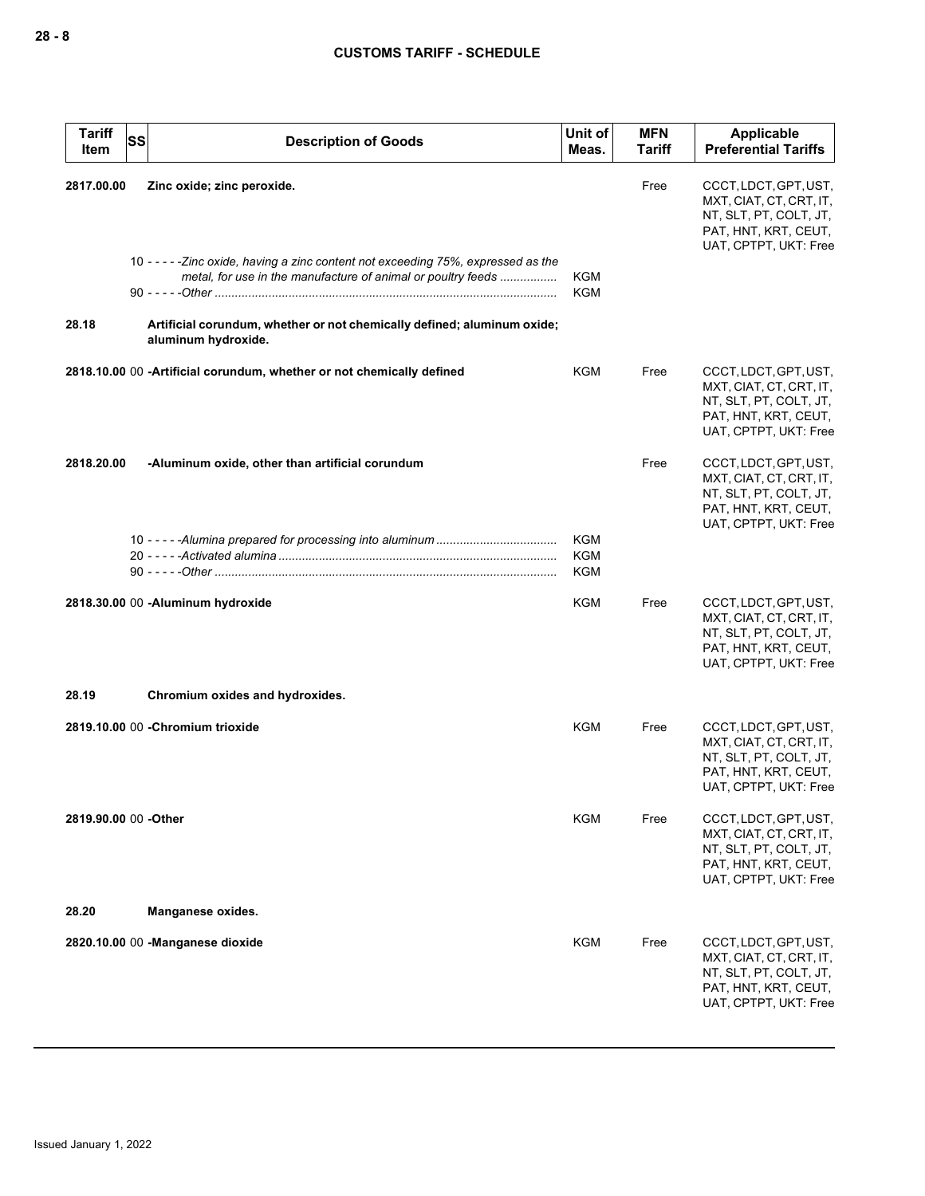| <b>Tariff</b><br>Item | SS<br><b>Description of Goods</b>                                                                                                                  | Unit of<br>Meas.                       | <b>MFN</b><br><b>Tariff</b> | Applicable<br><b>Preferential Tariffs</b>                                                                                   |
|-----------------------|----------------------------------------------------------------------------------------------------------------------------------------------------|----------------------------------------|-----------------------------|-----------------------------------------------------------------------------------------------------------------------------|
| 2817.00.00            | Zinc oxide; zinc peroxide.                                                                                                                         |                                        | Free                        | CCCT, LDCT, GPT, UST,<br>MXT, CIAT, CT, CRT, IT,<br>NT, SLT, PT, COLT, JT,<br>PAT, HNT, KRT, CEUT,<br>UAT, CPTPT, UKT: Free |
|                       | 10 - - - - - Zinc oxide, having a zinc content not exceeding 75%, expressed as the<br>metal, for use in the manufacture of animal or poultry feeds | <b>KGM</b><br><b>KGM</b>               |                             |                                                                                                                             |
| 28.18                 | Artificial corundum, whether or not chemically defined; aluminum oxide;<br>aluminum hydroxide.                                                     |                                        |                             |                                                                                                                             |
|                       | 2818.10.00 00 -Artificial corundum, whether or not chemically defined                                                                              | KGM                                    | Free                        | CCCT, LDCT, GPT, UST,<br>MXT, CIAT, CT, CRT, IT,<br>NT, SLT, PT, COLT, JT,<br>PAT, HNT, KRT, CEUT,<br>UAT, CPTPT, UKT: Free |
| 2818.20.00            | -Aluminum oxide, other than artificial corundum                                                                                                    |                                        | Free                        | CCCT, LDCT, GPT, UST,<br>MXT, CIAT, CT, CRT, IT,<br>NT, SLT, PT, COLT, JT,<br>PAT, HNT, KRT, CEUT,<br>UAT, CPTPT, UKT: Free |
|                       |                                                                                                                                                    | <b>KGM</b><br><b>KGM</b><br><b>KGM</b> |                             |                                                                                                                             |
|                       | 2818.30.00 00 - Aluminum hydroxide                                                                                                                 | KGM                                    | Free                        | CCCT, LDCT, GPT, UST,<br>MXT, CIAT, CT, CRT, IT,<br>NT, SLT, PT, COLT, JT,<br>PAT, HNT, KRT, CEUT,<br>UAT, CPTPT, UKT: Free |
| 28.19                 | Chromium oxides and hydroxides.                                                                                                                    |                                        |                             |                                                                                                                             |
|                       | 2819.10.00 00 - Chromium trioxide                                                                                                                  | <b>KGM</b>                             | Free                        | CCCT, LDCT, GPT, UST,<br>MXT, CIAT, CT, CRT, IT,<br>NT, SLT, PT, COLT, JT,<br>PAT, HNT, KRT, CEUT,<br>UAT, CPTPT, UKT: Free |
|                       | 2819.90.00 00 - Other                                                                                                                              | KGM                                    | Free                        | CCCT, LDCT, GPT, UST,<br>MXT, CIAT, CT, CRT, IT,<br>NT, SLT, PT, COLT, JT,<br>PAT, HNT, KRT, CEUT,<br>UAT, CPTPT, UKT: Free |
| 28.20                 | Manganese oxides.                                                                                                                                  |                                        |                             |                                                                                                                             |
|                       | 2820.10.00 00 -Manganese dioxide                                                                                                                   | KGM                                    | Free                        | CCCT, LDCT, GPT, UST,<br>MXT, CIAT, CT, CRT, IT,<br>NT, SLT, PT, COLT, JT,<br>PAT, HNT, KRT, CEUT,<br>UAT, CPTPT, UKT: Free |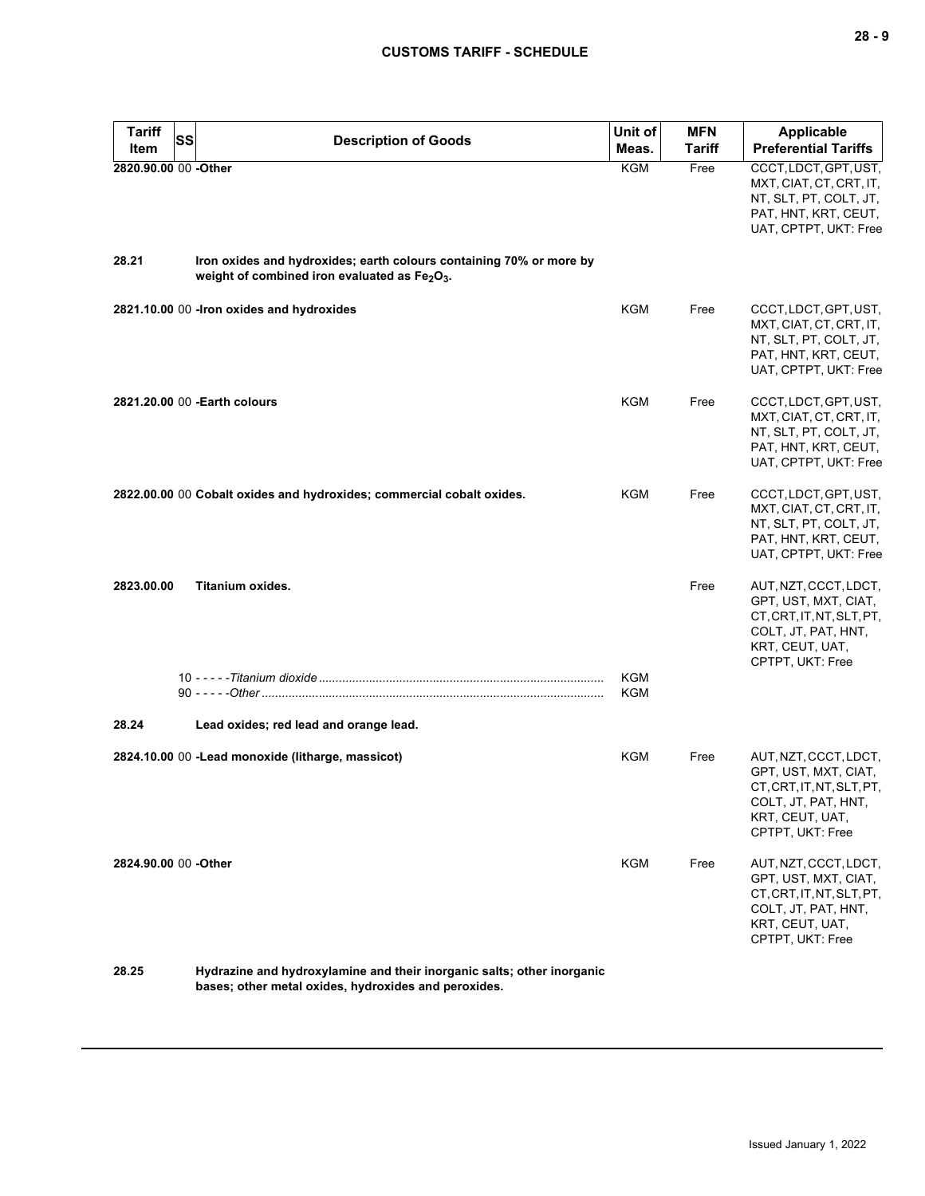| <b>Tariff</b><br>SS<br>Item | <b>Description of Goods</b>                                                                                                                  | Unit of<br>Meas.  | <b>MFN</b><br>Tariff | <b>Applicable</b><br><b>Preferential Tariffs</b>                                                                                         |
|-----------------------------|----------------------------------------------------------------------------------------------------------------------------------------------|-------------------|----------------------|------------------------------------------------------------------------------------------------------------------------------------------|
| 2820.90.00 00 -Other        |                                                                                                                                              | KGM               | Free                 | CCCT, LDCT, GPT, UST,<br>MXT, CIAT, CT, CRT, IT,<br>NT, SLT, PT, COLT, JT,<br>PAT, HNT, KRT, CEUT,<br>UAT, CPTPT, UKT: Free              |
| 28.21                       | Iron oxides and hydroxides; earth colours containing 70% or more by<br>weight of combined iron evaluated as Fe <sub>2</sub> O <sub>3</sub> . |                   |                      |                                                                                                                                          |
|                             | 2821.10.00 00 -Iron oxides and hydroxides                                                                                                    | KGM               | Free                 | CCCT, LDCT, GPT, UST,<br>MXT, CIAT, CT, CRT, IT,<br>NT, SLT, PT, COLT, JT,<br>PAT, HNT, KRT, CEUT,<br>UAT, CPTPT, UKT: Free              |
|                             | 2821.20.00 00 - Earth colours                                                                                                                | KGM               | Free                 | CCCT, LDCT, GPT, UST,<br>MXT, CIAT, CT, CRT, IT,<br>NT, SLT, PT, COLT, JT,<br>PAT, HNT, KRT, CEUT,<br>UAT, CPTPT, UKT: Free              |
|                             | 2822.00.00 00 Cobalt oxides and hydroxides; commercial cobalt oxides.                                                                        | KGM               | Free                 | CCCT, LDCT, GPT, UST,<br>MXT, CIAT, CT, CRT, IT,<br>NT, SLT, PT, COLT, JT,<br>PAT, HNT, KRT, CEUT,<br>UAT, CPTPT, UKT: Free              |
| 2823.00.00                  | Titanium oxides.                                                                                                                             |                   | Free                 | AUT, NZT, CCCT, LDCT,<br>GPT, UST, MXT, CIAT,<br>CT, CRT, IT, NT, SLT, PT,<br>COLT, JT, PAT, HNT,<br>KRT, CEUT, UAT,<br>CPTPT, UKT: Free |
|                             |                                                                                                                                              | <b>KGM</b><br>KGM |                      |                                                                                                                                          |
| 28.24                       | Lead oxides; red lead and orange lead.                                                                                                       |                   |                      |                                                                                                                                          |
|                             | 2824.10.00 00 -Lead monoxide (litharge, massicot)                                                                                            | <b>KGM</b>        | Free                 | AUT, NZT, CCCT, LDCT,<br>GPT, UST, MXT, CIAT,<br>CT, CRT, IT, NT, SLT, PT,<br>COLT, JT, PAT, HNT,<br>KRT, CEUT, UAT,<br>CPTPT, UKT: Free |
| 2824.90.00 00 -Other        |                                                                                                                                              | KGM               | Free                 | AUT, NZT, CCCT, LDCT,<br>GPT, UST, MXT, CIAT,<br>CT, CRT, IT, NT, SLT, PT,<br>COLT, JT, PAT, HNT,<br>KRT, CEUT, UAT,<br>CPTPT, UKT: Free |
| 28.25                       | Hydrazine and hydroxylamine and their inorganic salts; other inorganic                                                                       |                   |                      |                                                                                                                                          |

**bases; other metal oxides, hydroxides and peroxides.**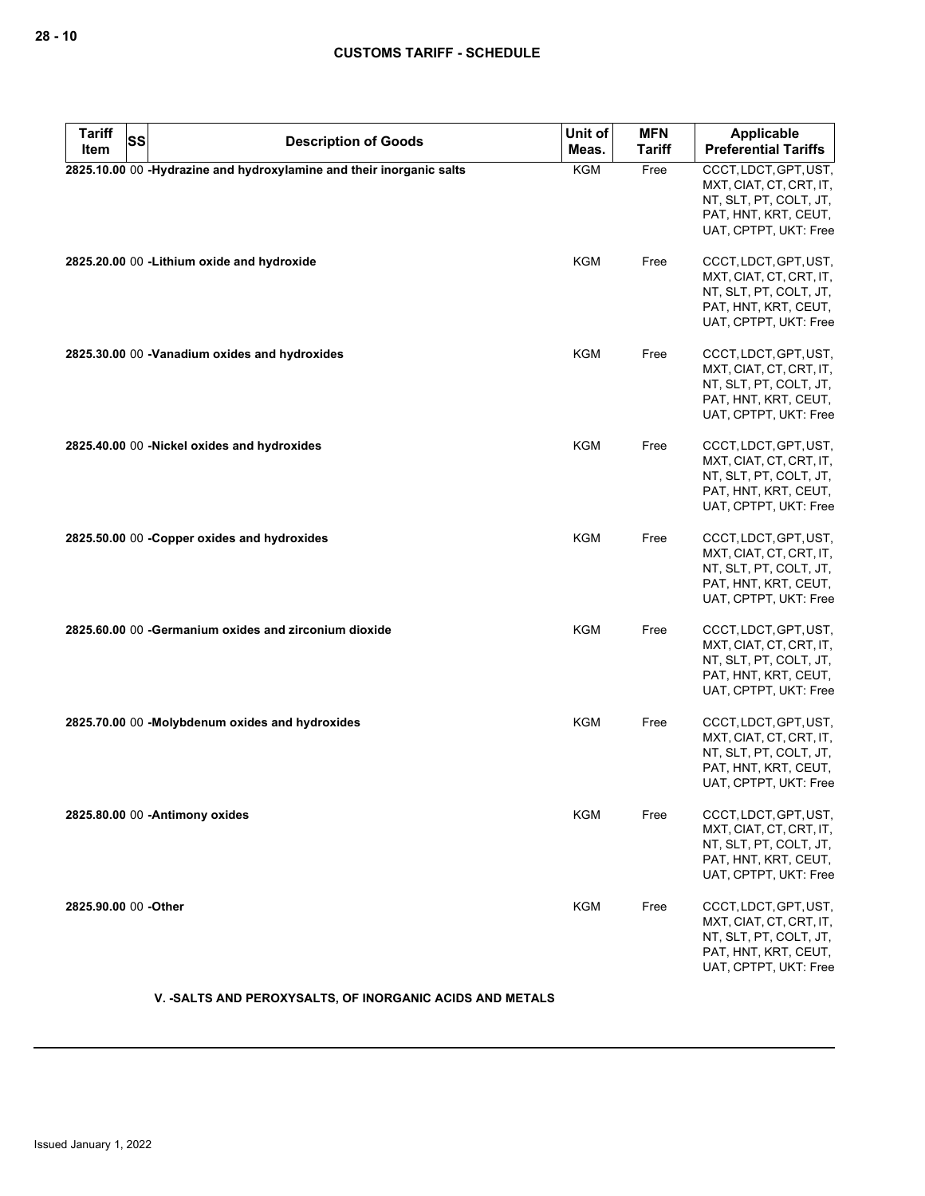| <b>Tariff</b>        | <b>SS</b> | <b>Description of Goods</b>                                          | Unit of    | <b>MFN</b>    | <b>Applicable</b>                                                                                                           |
|----------------------|-----------|----------------------------------------------------------------------|------------|---------------|-----------------------------------------------------------------------------------------------------------------------------|
| Item                 |           |                                                                      | Meas.      | <b>Tariff</b> | <b>Preferential Tariffs</b>                                                                                                 |
|                      |           | 2825.10.00 00 -Hydrazine and hydroxylamine and their inorganic salts | <b>KGM</b> | Free          | CCCT, LDCT, GPT, UST,<br>MXT, CIAT, CT, CRT, IT,<br>NT, SLT, PT, COLT, JT,<br>PAT, HNT, KRT, CEUT,<br>UAT, CPTPT, UKT: Free |
|                      |           | 2825.20.00 00 - Lithium oxide and hydroxide                          | KGM        | Free          | CCCT, LDCT, GPT, UST,<br>MXT, CIAT, CT, CRT, IT,<br>NT, SLT, PT, COLT, JT,<br>PAT, HNT, KRT, CEUT,<br>UAT, CPTPT, UKT: Free |
|                      |           | 2825.30.00 00 -Vanadium oxides and hydroxides                        | <b>KGM</b> | Free          | CCCT, LDCT, GPT, UST,<br>MXT, CIAT, CT, CRT, IT,<br>NT, SLT, PT, COLT, JT,<br>PAT, HNT, KRT, CEUT,<br>UAT, CPTPT, UKT: Free |
|                      |           | 2825.40.00 00 -Nickel oxides and hydroxides                          | <b>KGM</b> | Free          | CCCT, LDCT, GPT, UST,<br>MXT, CIAT, CT, CRT, IT,<br>NT, SLT, PT, COLT, JT,<br>PAT, HNT, KRT, CEUT,<br>UAT, CPTPT, UKT: Free |
|                      |           | 2825.50.00 00 - Copper oxides and hydroxides                         | KGM        | Free          | CCCT, LDCT, GPT, UST,<br>MXT, CIAT, CT, CRT, IT,<br>NT, SLT, PT, COLT, JT,<br>PAT, HNT, KRT, CEUT,<br>UAT, CPTPT, UKT: Free |
|                      |           | 2825.60.00 00 - Germanium oxides and zirconium dioxide               | <b>KGM</b> | Free          | CCCT, LDCT, GPT, UST,<br>MXT, CIAT, CT, CRT, IT,<br>NT, SLT, PT, COLT, JT,<br>PAT, HNT, KRT, CEUT,<br>UAT, CPTPT, UKT: Free |
|                      |           | 2825.70.00 00 -Molybdenum oxides and hydroxides                      | <b>KGM</b> | Free          | CCCT, LDCT, GPT, UST,<br>MXT, CIAT, CT, CRT, IT,<br>NT, SLT, PT, COLT, JT,<br>PAT, HNT, KRT, CEUT,<br>UAT, CPTPT, UKT: Free |
|                      |           | 2825.80.00 00 - Antimony oxides                                      | <b>KGM</b> | Free          | CCCT, LDCT, GPT, UST,<br>MXT, CIAT, CT, CRT, IT,<br>NT, SLT, PT, COLT, JT,<br>PAT, HNT, KRT, CEUT,<br>UAT, CPTPT, UKT: Free |
| 2825.90.00 00 -Other |           |                                                                      | <b>KGM</b> | Free          | CCCT, LDCT, GPT, UST,<br>MXT, CIAT, CT, CRT, IT,<br>NT, SLT, PT, COLT, JT,<br>PAT, HNT, KRT, CEUT,<br>UAT, CPTPT, UKT: Free |

**V. -SALTS AND PEROXYSALTS, OF INORGANIC ACIDS AND METALS**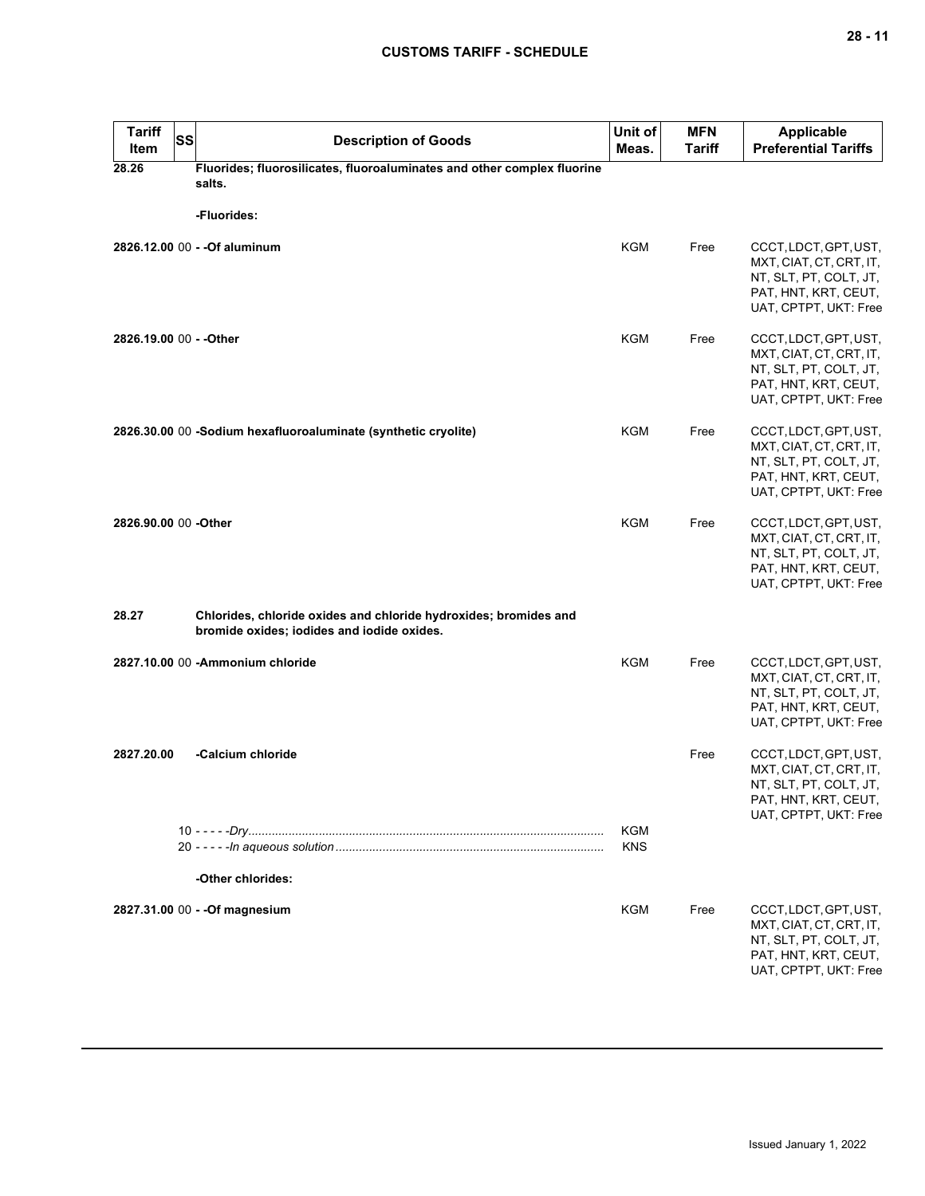| <b>Tariff</b><br>Item   | SS | <b>Description of Goods</b>                                                                                    | Unit of<br>Meas.  | <b>MFN</b><br><b>Tariff</b> | <b>Applicable</b><br><b>Preferential Tariffs</b>                                                                            |
|-------------------------|----|----------------------------------------------------------------------------------------------------------------|-------------------|-----------------------------|-----------------------------------------------------------------------------------------------------------------------------|
| 28.26                   |    | Fluorides; fluorosilicates, fluoroaluminates and other complex fluorine<br>salts.                              |                   |                             |                                                                                                                             |
|                         |    | -Fluorides:                                                                                                    |                   |                             |                                                                                                                             |
|                         |    | 2826.12.00 00 - - Of aluminum                                                                                  | <b>KGM</b>        | Free                        | CCCT, LDCT, GPT, UST,<br>MXT, CIAT, CT, CRT, IT,<br>NT, SLT, PT, COLT, JT,<br>PAT, HNT, KRT, CEUT,<br>UAT, CPTPT, UKT: Free |
| 2826.19.00 00 - - Other |    |                                                                                                                | <b>KGM</b>        | Free                        | CCCT, LDCT, GPT, UST,<br>MXT, CIAT, CT, CRT, IT,<br>NT, SLT, PT, COLT, JT,<br>PAT, HNT, KRT, CEUT,<br>UAT, CPTPT, UKT: Free |
|                         |    | 2826.30.00 00 -Sodium hexafluoroaluminate (synthetic cryolite)                                                 | <b>KGM</b>        | Free                        | CCCT, LDCT, GPT, UST,<br>MXT, CIAT, CT, CRT, IT,<br>NT, SLT, PT, COLT, JT,<br>PAT, HNT, KRT, CEUT,<br>UAT, CPTPT, UKT: Free |
| 2826.90.00 00 -Other    |    |                                                                                                                | KGM               | Free                        | CCCT, LDCT, GPT, UST,<br>MXT, CIAT, CT, CRT, IT,<br>NT, SLT, PT, COLT, JT,<br>PAT, HNT, KRT, CEUT,<br>UAT, CPTPT, UKT: Free |
| 28.27                   |    | Chlorides, chloride oxides and chloride hydroxides; bromides and<br>bromide oxides; iodides and iodide oxides. |                   |                             |                                                                                                                             |
|                         |    | 2827.10.00 00 - Ammonium chloride                                                                              | <b>KGM</b>        | Free                        | CCCT, LDCT, GPT, UST,<br>MXT, CIAT, CT, CRT, IT,<br>NT, SLT, PT, COLT, JT,<br>PAT, HNT, KRT, CEUT,<br>UAT, CPTPT, UKT: Free |
| 2827.20.00              |    | -Calcium chloride                                                                                              |                   | Free                        | CCCT, LDCT, GPT, UST,<br>MXT, CIAT, CT, CRT, IT,<br>NT, SLT, PT, COLT, JT,<br>PAT, HNT, KRT, CEUT,<br>UAT, CPTPT, UKT: Free |
|                         |    |                                                                                                                | KGM<br><b>KNS</b> |                             |                                                                                                                             |
|                         |    | -Other chlorides:                                                                                              |                   |                             |                                                                                                                             |
|                         |    | 2827.31.00 00 - - Of magnesium                                                                                 | KGM               | Free                        | CCCT, LDCT, GPT, UST,<br>MXT, CIAT, CT, CRT, IT,<br>NT, SLT, PT, COLT, JT,<br>PAT, HNT, KRT, CEUT,<br>UAT, CPTPT, UKT: Free |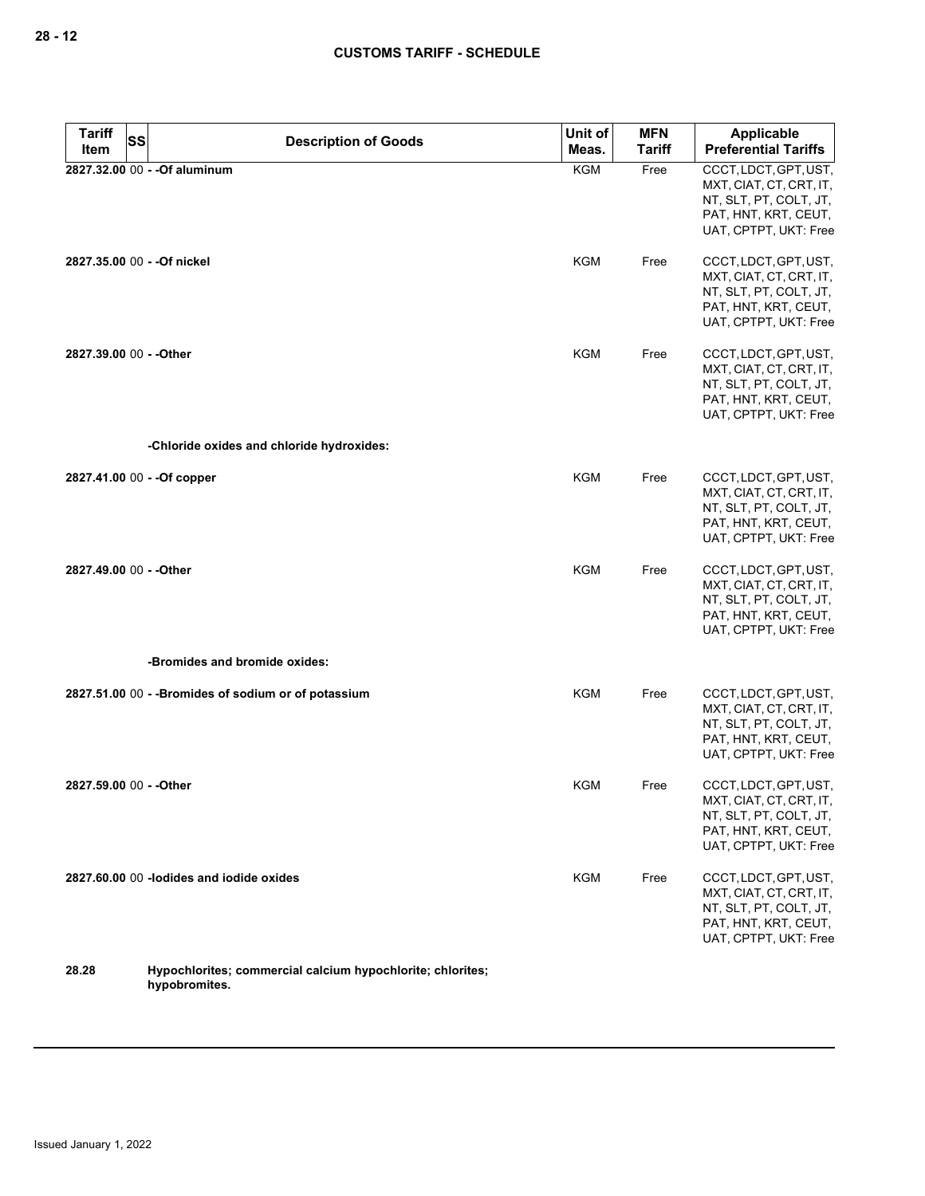| <b>Tariff</b>           | SS | <b>Description of Goods</b>                                | Unit of    | <b>MFN</b>    | <b>Applicable</b>                                                                                                           |
|-------------------------|----|------------------------------------------------------------|------------|---------------|-----------------------------------------------------------------------------------------------------------------------------|
| Item                    |    |                                                            | Meas.      | <b>Tariff</b> | <b>Preferential Tariffs</b>                                                                                                 |
|                         |    | 2827.32.00 00 - - Of aluminum                              | <b>KGM</b> | Free          | CCCT, LDCT, GPT, UST,<br>MXT, CIAT, CT, CRT, IT,<br>NT, SLT, PT, COLT, JT,<br>PAT, HNT, KRT, CEUT,<br>UAT, CPTPT, UKT: Free |
|                         |    | 2827.35.00 00 - - Of nickel                                | KGM        | Free          | CCCT, LDCT, GPT, UST,<br>MXT, CIAT, CT, CRT, IT,<br>NT, SLT, PT, COLT, JT,<br>PAT, HNT, KRT, CEUT,<br>UAT, CPTPT, UKT: Free |
| 2827.39.00 00 - - Other |    |                                                            | KGM        | Free          | CCCT, LDCT, GPT, UST,<br>MXT, CIAT, CT, CRT, IT,<br>NT, SLT, PT, COLT, JT,<br>PAT, HNT, KRT, CEUT,<br>UAT, CPTPT, UKT: Free |
|                         |    | -Chloride oxides and chloride hydroxides:                  |            |               |                                                                                                                             |
|                         |    | 2827.41.00 00 - - Of copper                                | KGM        | Free          | CCCT, LDCT, GPT, UST,<br>MXT, CIAT, CT, CRT, IT,<br>NT, SLT, PT, COLT, JT,<br>PAT, HNT, KRT, CEUT,<br>UAT, CPTPT, UKT: Free |
| 2827.49.00 00 - - Other |    |                                                            | KGM        | Free          | CCCT, LDCT, GPT, UST,<br>MXT, CIAT, CT, CRT, IT,<br>NT, SLT, PT, COLT, JT,<br>PAT, HNT, KRT, CEUT,<br>UAT, CPTPT, UKT: Free |
|                         |    | -Bromides and bromide oxides:                              |            |               |                                                                                                                             |
|                         |    | 2827.51.00 00 - - Bromides of sodium or of potassium       | <b>KGM</b> | Free          | CCCT, LDCT, GPT, UST,<br>MXT, CIAT, CT, CRT, IT,<br>NT, SLT, PT, COLT, JT,<br>PAT, HNT, KRT, CEUT,<br>UAT, CPTPT, UKT: Free |
| 2827.59.00 00 - - Other |    |                                                            | KGM        | Free          | CCCT, LDCT, GPT, UST,<br>MXT, CIAT, CT, CRT, IT,<br>NT, SLT, PT, COLT, JT,<br>PAT, HNT, KRT, CEUT,<br>UAT, CPTPT, UKT: Free |
|                         |    | 2827.60.00 00 -lodides and iodide oxides                   | <b>KGM</b> | Free          | CCCT, LDCT, GPT, UST,<br>MXT, CIAT, CT, CRT, IT,<br>NT, SLT, PT, COLT, JT,<br>PAT, HNT, KRT, CEUT,<br>UAT, CPTPT, UKT: Free |
| 28.28                   |    | Hypochlorites; commercial calcium hypochlorite; chlorites; |            |               |                                                                                                                             |

**hypobromites.**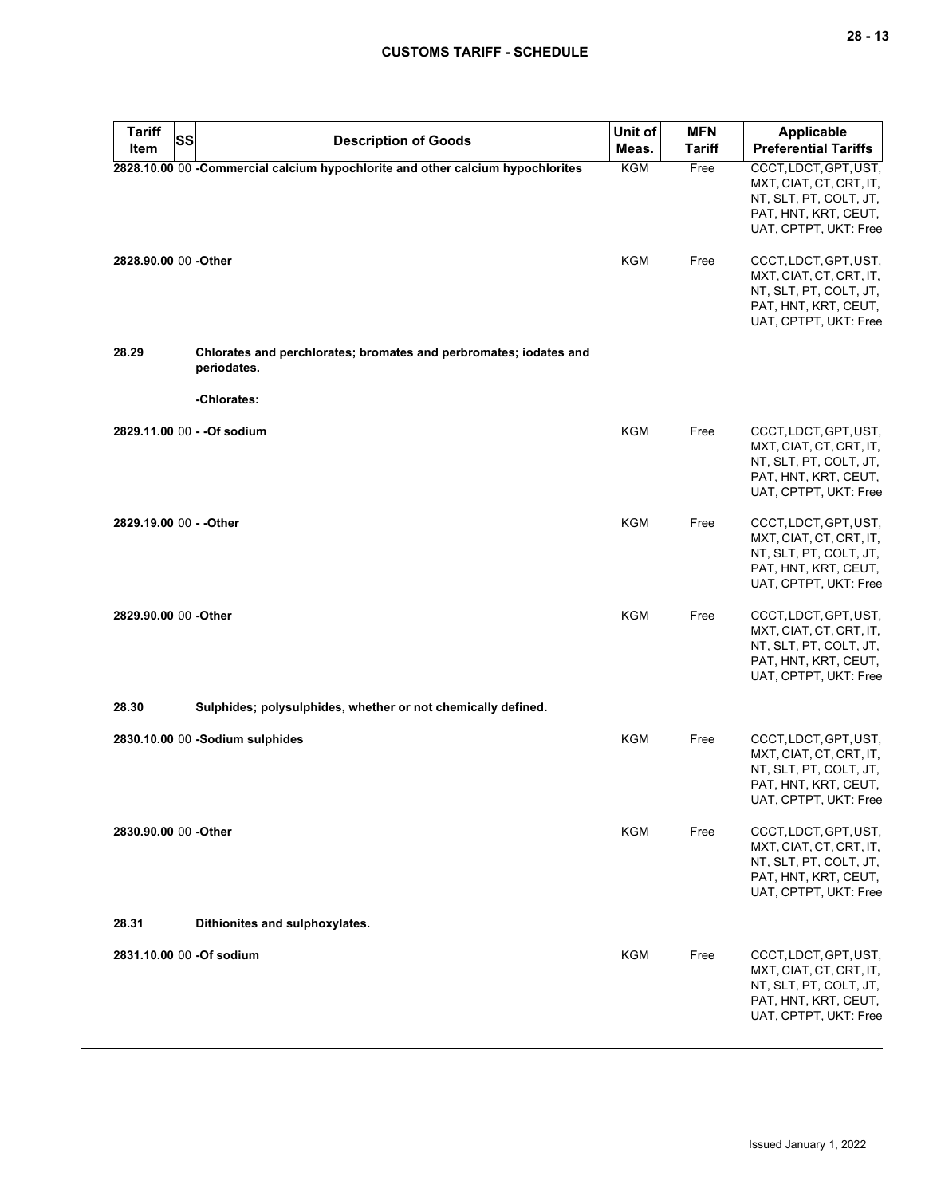| <b>Tariff</b><br><b>SS</b><br>Item | <b>Description of Goods</b>                                                      | Unit of<br>Meas. | <b>MFN</b><br><b>Tariff</b> | Applicable<br><b>Preferential Tariffs</b>                                                                                   |
|------------------------------------|----------------------------------------------------------------------------------|------------------|-----------------------------|-----------------------------------------------------------------------------------------------------------------------------|
|                                    | 2828.10.00 00 -Commercial calcium hypochlorite and other calcium hypochlorites   | KGM              | Free                        | CCCT, LDCT, GPT, UST,<br>MXT, CIAT, CT, CRT, IT,<br>NT, SLT, PT, COLT, JT,<br>PAT, HNT, KRT, CEUT,<br>UAT, CPTPT, UKT: Free |
| 2828.90.00 00 -Other               |                                                                                  | KGM              | Free                        | CCCT, LDCT, GPT, UST,<br>MXT, CIAT, CT, CRT, IT,<br>NT, SLT, PT, COLT, JT,<br>PAT, HNT, KRT, CEUT,<br>UAT, CPTPT, UKT: Free |
| 28.29                              | Chlorates and perchlorates; bromates and perbromates; iodates and<br>periodates. |                  |                             |                                                                                                                             |
|                                    | -Chlorates:                                                                      |                  |                             |                                                                                                                             |
|                                    | 2829.11.00 00 - - Of sodium                                                      | <b>KGM</b>       | Free                        | CCCT, LDCT, GPT, UST,<br>MXT, CIAT, CT, CRT, IT,<br>NT, SLT, PT, COLT, JT,<br>PAT, HNT, KRT, CEUT,<br>UAT, CPTPT, UKT: Free |
| 2829.19.00 00 - - Other            |                                                                                  | <b>KGM</b>       | Free                        | CCCT, LDCT, GPT, UST,<br>MXT, CIAT, CT, CRT, IT,<br>NT, SLT, PT, COLT, JT,<br>PAT, HNT, KRT, CEUT,<br>UAT, CPTPT, UKT: Free |
| 2829.90.00 00 -Other               |                                                                                  | <b>KGM</b>       | Free                        | CCCT, LDCT, GPT, UST,<br>MXT, CIAT, CT, CRT, IT,<br>NT, SLT, PT, COLT, JT,<br>PAT, HNT, KRT, CEUT,<br>UAT, CPTPT, UKT: Free |
| 28.30                              | Sulphides; polysulphides, whether or not chemically defined.                     |                  |                             |                                                                                                                             |
|                                    | 2830.10.00 00 -Sodium sulphides                                                  | <b>KGM</b>       | Free                        | CCCT, LDCT, GPT, UST,<br>MXT, CIAT, CT, CRT, IT,<br>NT, SLT, PT, COLT, JT,<br>PAT, HNT, KRT, CEUT,<br>UAT, CPTPT, UKT: Free |
| 2830.90.00 00 - Other              |                                                                                  | KGM              | Free                        | CCCT, LDCT, GPT, UST,<br>MXT, CIAT, CT, CRT, IT,<br>NT, SLT, PT, COLT, JT,<br>PAT, HNT, KRT, CEUT,<br>UAT, CPTPT, UKT: Free |
| 28.31                              | Dithionites and sulphoxylates.                                                   |                  |                             |                                                                                                                             |
| 2831.10.00 00 -Of sodium           |                                                                                  | KGM              | Free                        | CCCT, LDCT, GPT, UST,<br>MXT, CIAT, CT, CRT, IT,<br>NT, SLT, PT, COLT, JT,<br>PAT, HNT, KRT, CEUT,<br>UAT, CPTPT, UKT: Free |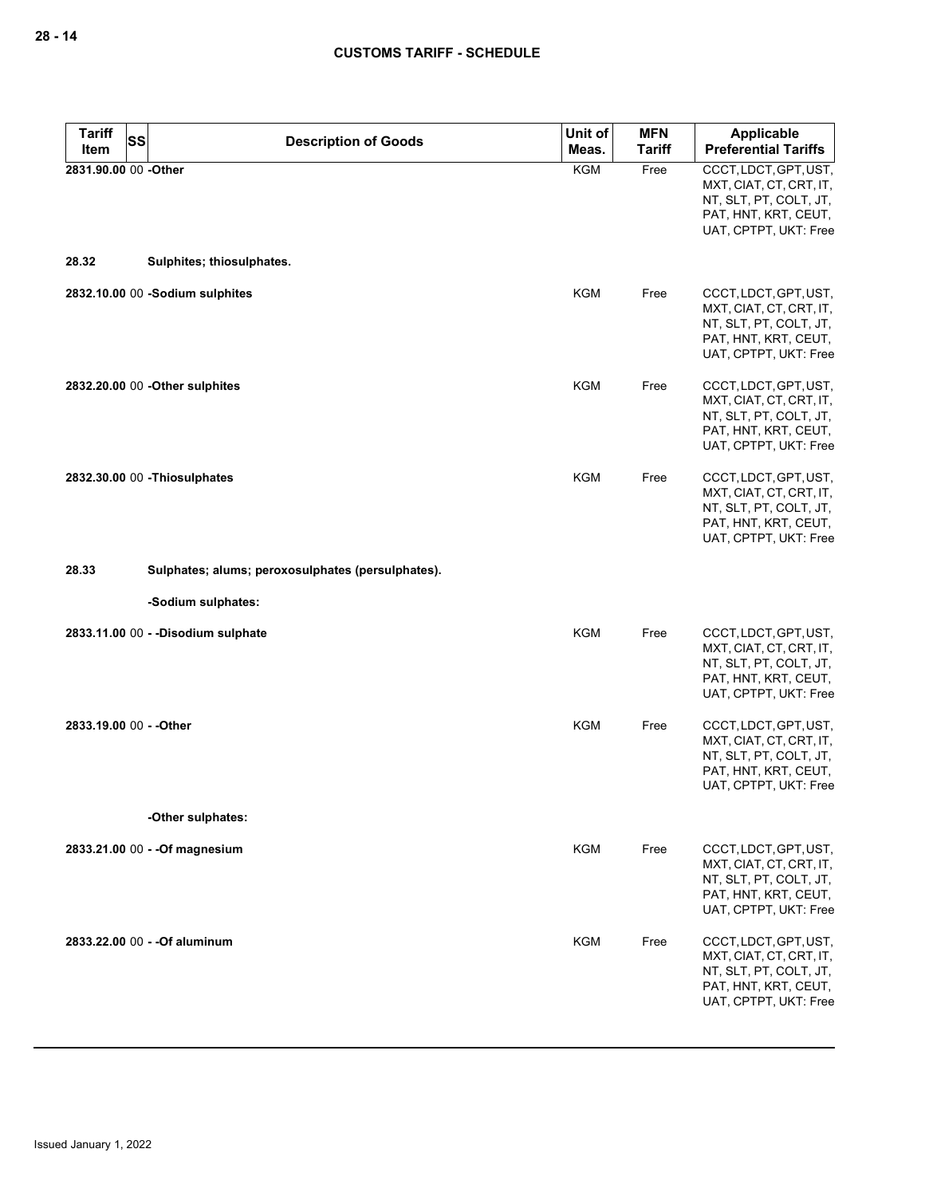| <b>Tariff</b><br><b>SS</b> | <b>Description of Goods</b>                       | Unit of    | <b>MFN</b>    | <b>Applicable</b>                                                                                                           |
|----------------------------|---------------------------------------------------|------------|---------------|-----------------------------------------------------------------------------------------------------------------------------|
| Item                       |                                                   | Meas.      | <b>Tariff</b> | <b>Preferential Tariffs</b>                                                                                                 |
| 2831.90.00 00 -Other       |                                                   | <b>KGM</b> | Free          | CCCT, LDCT, GPT, UST,<br>MXT, CIAT, CT, CRT, IT,<br>NT, SLT, PT, COLT, JT,<br>PAT, HNT, KRT, CEUT,<br>UAT, CPTPT, UKT: Free |
| 28.32                      | Sulphites; thiosulphates.                         |            |               |                                                                                                                             |
|                            | 2832.10.00 00 -Sodium sulphites                   | <b>KGM</b> | Free          | CCCT, LDCT, GPT, UST,<br>MXT, CIAT, CT, CRT, IT,<br>NT, SLT, PT, COLT, JT,<br>PAT, HNT, KRT, CEUT,<br>UAT, CPTPT, UKT: Free |
|                            | 2832.20.00 00 - Other sulphites                   | KGM        | Free          | CCCT, LDCT, GPT, UST,<br>MXT, CIAT, CT, CRT, IT,<br>NT, SLT, PT, COLT, JT,<br>PAT, HNT, KRT, CEUT,<br>UAT, CPTPT, UKT: Free |
|                            | 2832.30.00 00 - Thiosulphates                     | KGM        | Free          | CCCT, LDCT, GPT, UST,<br>MXT, CIAT, CT, CRT, IT,<br>NT, SLT, PT, COLT, JT,<br>PAT, HNT, KRT, CEUT,<br>UAT, CPTPT, UKT: Free |
| 28.33                      | Sulphates; alums; peroxosulphates (persulphates). |            |               |                                                                                                                             |
|                            | -Sodium sulphates:                                |            |               |                                                                                                                             |
|                            | 2833.11.00 00 - - Disodium sulphate               | <b>KGM</b> | Free          | CCCT, LDCT, GPT, UST,<br>MXT, CIAT, CT, CRT, IT,<br>NT, SLT, PT, COLT, JT,<br>PAT, HNT, KRT, CEUT,<br>UAT, CPTPT, UKT: Free |
| 2833.19.00 00 - - Other    |                                                   | KGM        | Free          | CCCT, LDCT, GPT, UST,<br>MXT, CIAT, CT, CRT, IT,<br>NT, SLT, PT, COLT, JT,<br>PAT, HNT, KRT, CEUT,<br>UAT, CPTPT, UKT: Free |
|                            | -Other sulphates:                                 |            |               |                                                                                                                             |
|                            | 2833.21.00 00 - - Of magnesium                    | <b>KGM</b> | Free          | CCCT, LDCT, GPT, UST,<br>MXT, CIAT, CT, CRT, IT,<br>NT, SLT, PT, COLT, JT,<br>PAT, HNT, KRT, CEUT,<br>UAT, CPTPT, UKT: Free |
|                            | 2833.22.00 00 - - Of aluminum                     | <b>KGM</b> | Free          | CCCT, LDCT, GPT, UST,<br>MXT, CIAT, CT, CRT, IT,<br>NT, SLT, PT, COLT, JT,<br>PAT, HNT, KRT, CEUT,<br>UAT, CPTPT, UKT: Free |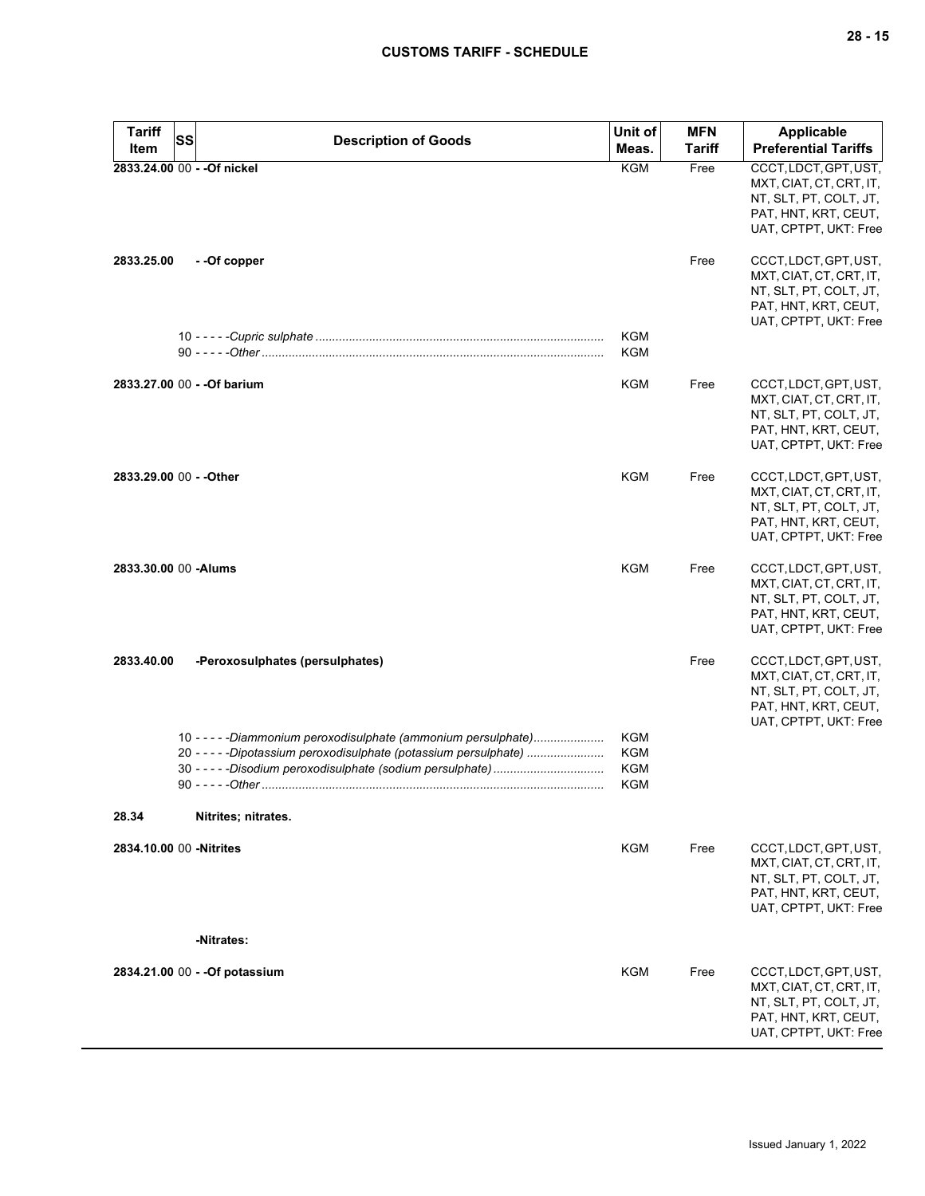| <b>Tariff</b><br>Item   | <b>SS</b> | <b>Description of Goods</b>                                                                                                          | Unit of<br>Meas.                                     | <b>MFN</b><br><b>Tariff</b> | <b>Applicable</b><br><b>Preferential Tariffs</b>                                                                            |
|-------------------------|-----------|--------------------------------------------------------------------------------------------------------------------------------------|------------------------------------------------------|-----------------------------|-----------------------------------------------------------------------------------------------------------------------------|
|                         |           | 2833.24.00 00 - - Of nickel                                                                                                          | <b>KGM</b>                                           | Free                        | CCCT, LDCT, GPT, UST,                                                                                                       |
|                         |           |                                                                                                                                      |                                                      |                             | MXT, CIAT, CT, CRT, IT,<br>NT, SLT, PT, COLT, JT,<br>PAT, HNT, KRT, CEUT,<br>UAT, CPTPT, UKT: Free                          |
| 2833.25.00              |           | - -Of copper                                                                                                                         |                                                      | Free                        | CCCT, LDCT, GPT, UST,<br>MXT, CIAT, CT, CRT, IT,<br>NT, SLT, PT, COLT, JT,<br>PAT, HNT, KRT, CEUT,<br>UAT, CPTPT, UKT: Free |
|                         |           |                                                                                                                                      | <b>KGM</b><br><b>KGM</b>                             |                             |                                                                                                                             |
|                         |           | 2833.27.00 00 - - Of barium                                                                                                          | <b>KGM</b>                                           | Free                        | CCCT, LDCT, GPT, UST,<br>MXT, CIAT, CT, CRT, IT,<br>NT, SLT, PT, COLT, JT,<br>PAT, HNT, KRT, CEUT,<br>UAT, CPTPT, UKT: Free |
| 2833.29.00 00 - - Other |           |                                                                                                                                      | <b>KGM</b>                                           | Free                        | CCCT, LDCT, GPT, UST,<br>MXT, CIAT, CT, CRT, IT,<br>NT, SLT, PT, COLT, JT,<br>PAT, HNT, KRT, CEUT,<br>UAT, CPTPT, UKT: Free |
| 2833.30.00 00 - Alums   |           |                                                                                                                                      | <b>KGM</b>                                           | Free                        | CCCT, LDCT, GPT, UST,<br>MXT, CIAT, CT, CRT, IT,<br>NT, SLT, PT, COLT, JT,<br>PAT, HNT, KRT, CEUT,<br>UAT, CPTPT, UKT: Free |
| 2833.40.00              |           | -Peroxosulphates (persulphates)                                                                                                      |                                                      | Free                        | CCCT, LDCT, GPT, UST,<br>MXT, CIAT, CT, CRT, IT,<br>NT, SLT, PT, COLT, JT,<br>PAT, HNT, KRT, CEUT,<br>UAT, CPTPT, UKT: Free |
|                         |           | 10 - - - - - Diammonium peroxodisulphate (ammonium persulphate)<br>20 - - - - - Dipotassium peroxodisulphate (potassium persulphate) | <b>KGM</b><br><b>KGM</b><br><b>KGM</b><br><b>KGM</b> |                             |                                                                                                                             |
| 28.34                   |           | Nitrites; nitrates.                                                                                                                  |                                                      |                             |                                                                                                                             |
| 2834.10.00 00 -Nitrites |           | -Nitrates:                                                                                                                           | <b>KGM</b>                                           | Free                        | CCCT, LDCT, GPT, UST,<br>MXT, CIAT, CT, CRT, IT,<br>NT, SLT, PT, COLT, JT,<br>PAT, HNT, KRT, CEUT,<br>UAT, CPTPT, UKT: Free |
|                         |           |                                                                                                                                      | <b>KGM</b>                                           |                             |                                                                                                                             |
|                         |           | 2834.21.00 00 - - Of potassium                                                                                                       |                                                      | Free                        | CCCT, LDCT, GPT, UST,<br>MXT, CIAT, CT, CRT, IT,<br>NT, SLT, PT, COLT, JT,<br>PAT, HNT, KRT, CEUT,<br>UAT, CPTPT, UKT: Free |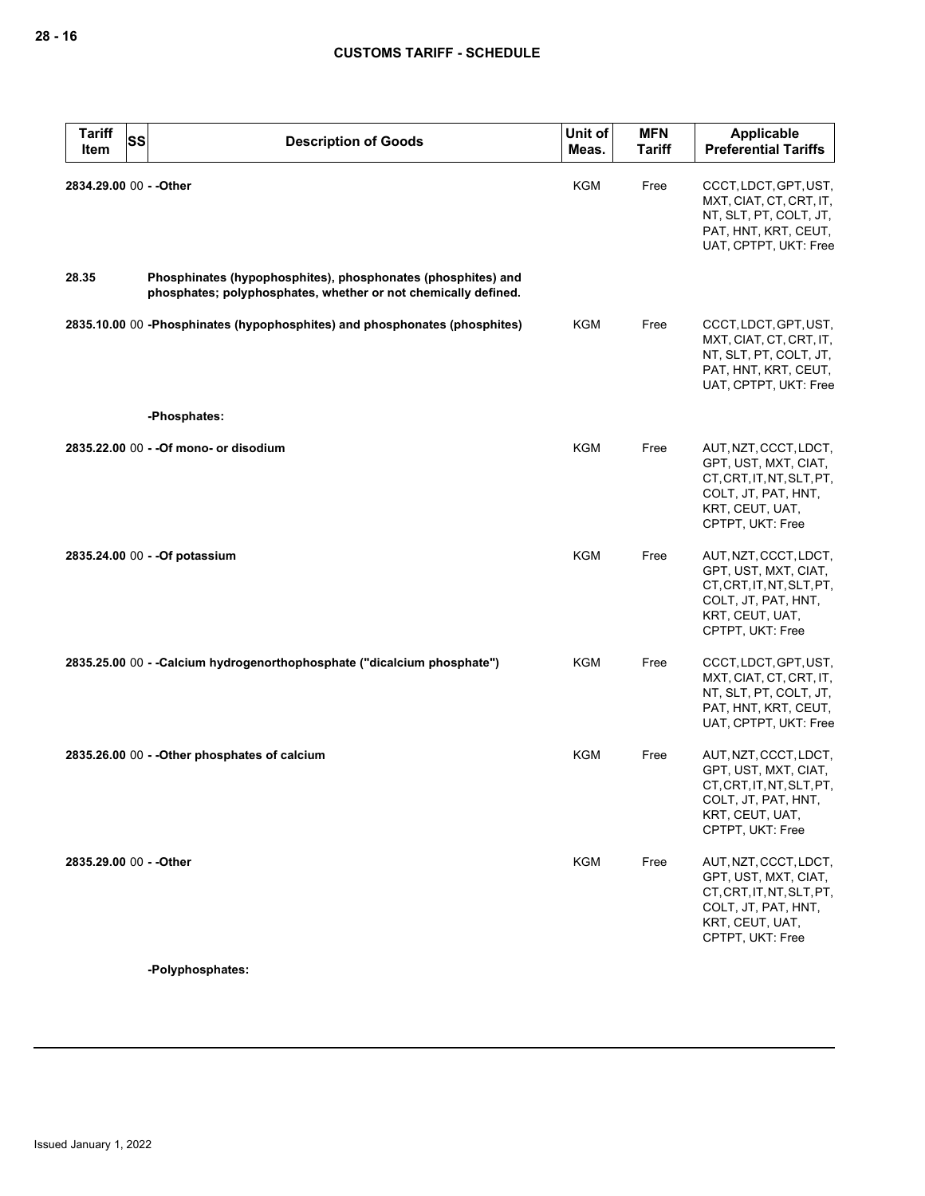| <b>Tariff</b><br>Item   | SS<br><b>Description of Goods</b>                                                                                              | Unit of<br>Meas. | <b>MFN</b><br><b>Tariff</b> | Applicable<br><b>Preferential Tariffs</b>                                                                                                |
|-------------------------|--------------------------------------------------------------------------------------------------------------------------------|------------------|-----------------------------|------------------------------------------------------------------------------------------------------------------------------------------|
| 2834.29.00 00 - - Other |                                                                                                                                | <b>KGM</b>       | Free                        | CCCT, LDCT, GPT, UST,<br>MXT, CIAT, CT, CRT, IT,<br>NT, SLT, PT, COLT, JT,<br>PAT, HNT, KRT, CEUT,<br>UAT, CPTPT, UKT: Free              |
| 28.35                   | Phosphinates (hypophosphites), phosphonates (phosphites) and<br>phosphates; polyphosphates, whether or not chemically defined. |                  |                             |                                                                                                                                          |
|                         | 2835.10.00 00 -Phosphinates (hypophosphites) and phosphonates (phosphites)                                                     | KGM              | Free                        | CCCT, LDCT, GPT, UST,<br>MXT, CIAT, CT, CRT, IT,<br>NT, SLT, PT, COLT, JT,<br>PAT, HNT, KRT, CEUT,<br>UAT, CPTPT, UKT: Free              |
|                         | -Phosphates:                                                                                                                   |                  |                             |                                                                                                                                          |
|                         | 2835.22.00 00 - - Of mono- or disodium                                                                                         | KGM              | Free                        | AUT, NZT, CCCT, LDCT,<br>GPT, UST, MXT, CIAT,<br>CT, CRT, IT, NT, SLT, PT,<br>COLT, JT, PAT, HNT,<br>KRT, CEUT, UAT,<br>CPTPT, UKT: Free |
|                         | 2835.24.00 00 - - Of potassium                                                                                                 | KGM              | Free                        | AUT, NZT, CCCT, LDCT,<br>GPT, UST, MXT, CIAT,<br>CT, CRT, IT, NT, SLT, PT,<br>COLT, JT, PAT, HNT,<br>KRT, CEUT, UAT,<br>CPTPT, UKT: Free |
|                         | 2835.25.00 00 - - Calcium hydrogenorthophosphate ("dicalcium phosphate")                                                       | <b>KGM</b>       | Free                        | CCCT, LDCT, GPT, UST,<br>MXT, CIAT, CT, CRT, IT,<br>NT, SLT, PT, COLT, JT,<br>PAT, HNT, KRT, CEUT,<br>UAT, CPTPT, UKT: Free              |
|                         | 2835.26.00 00 - - Other phosphates of calcium                                                                                  | KGM              | Free                        | AUT, NZT, CCCT, LDCT,<br>GPT, UST, MXT, CIAT,<br>CT, CRT, IT, NT, SLT, PT,<br>COLT, JT, PAT, HNT,<br>KRT, CEUT, UAT,<br>CPTPT, UKT: Free |
| 2835.29.00 00 - - Other |                                                                                                                                | <b>KGM</b>       | Free                        | AUT, NZT, CCCT, LDCT,<br>GPT, UST, MXT, CIAT,<br>CT, CRT, IT, NT, SLT, PT,<br>COLT, JT, PAT, HNT,<br>KRT, CEUT, UAT,<br>CPTPT, UKT: Free |

**-Polyphosphates:**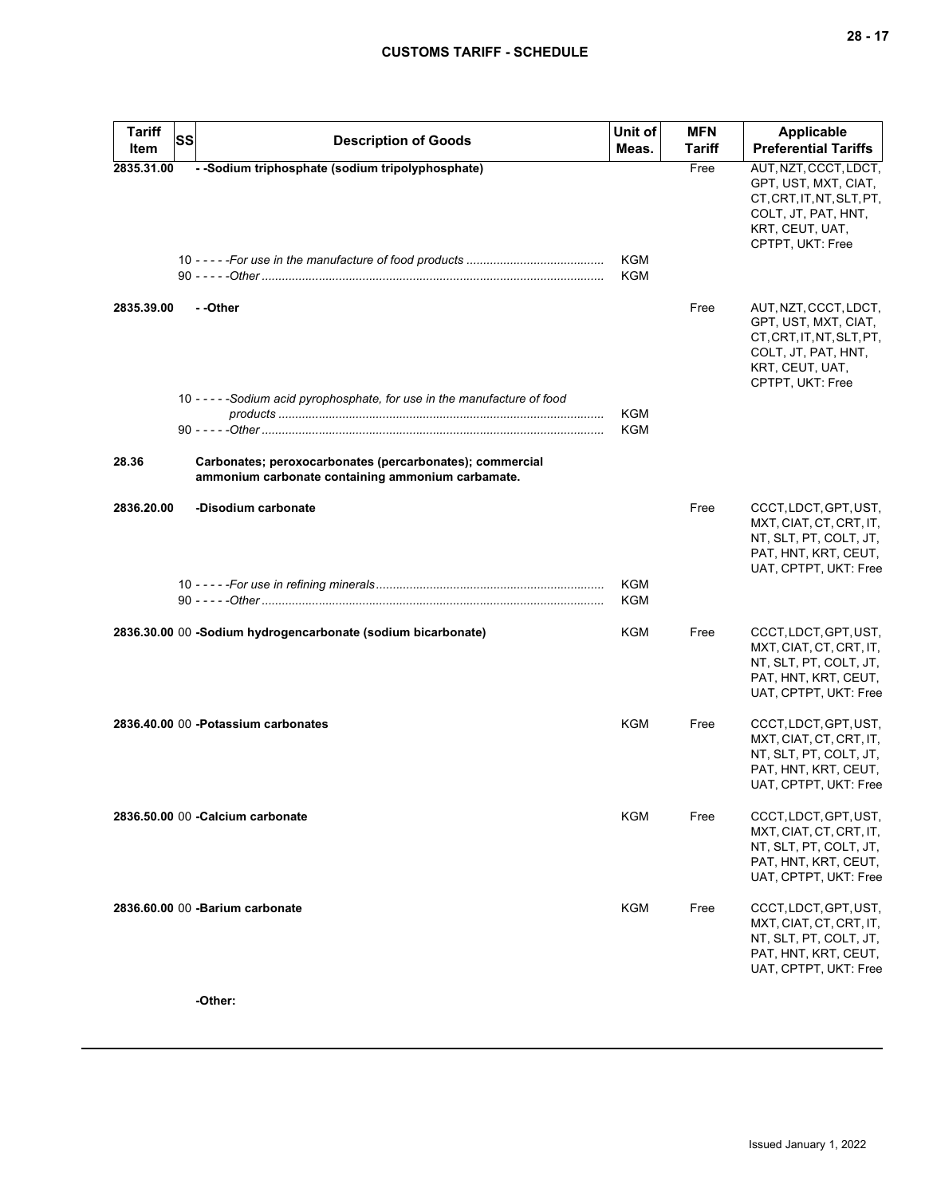| <b>Tariff</b><br>SS | <b>Description of Goods</b>                                                                                   | Unit of                  | <b>MFN</b> | <b>Applicable</b>                                                                                                                        |
|---------------------|---------------------------------------------------------------------------------------------------------------|--------------------------|------------|------------------------------------------------------------------------------------------------------------------------------------------|
| Item                |                                                                                                               | Meas.                    | Tariff     | <b>Preferential Tariffs</b>                                                                                                              |
| 2835.31.00          | - -Sodium triphosphate (sodium tripolyphosphate)                                                              | <b>KGM</b><br><b>KGM</b> | Free       | AUT, NZT, CCCT, LDCT,<br>GPT, UST, MXT, CIAT,<br>CT, CRT, IT, NT, SLT, PT,<br>COLT, JT, PAT, HNT,<br>KRT, CEUT, UAT,<br>CPTPT, UKT: Free |
| 2835.39.00          | - -Other<br>10 - - - - - Sodium acid pyrophosphate, for use in the manufacture of food                        |                          | Free       | AUT, NZT, CCCT, LDCT,<br>GPT, UST, MXT, CIAT,<br>CT.CRT.IT.NT.SLT.PT.<br>COLT, JT, PAT, HNT,<br>KRT, CEUT, UAT,<br>CPTPT, UKT: Free      |
|                     |                                                                                                               | KGM<br>KGM               |            |                                                                                                                                          |
| 28.36               | Carbonates; peroxocarbonates (percarbonates); commercial<br>ammonium carbonate containing ammonium carbamate. |                          |            |                                                                                                                                          |
| 2836.20.00          | -Disodium carbonate                                                                                           |                          | Free       | CCCT, LDCT, GPT, UST,<br>MXT, CIAT, CT, CRT, IT,<br>NT, SLT, PT, COLT, JT,<br>PAT, HNT, KRT, CEUT,<br>UAT, CPTPT, UKT: Free              |
|                     |                                                                                                               | <b>KGM</b><br>KGM        |            |                                                                                                                                          |
|                     | 2836.30.00 00 -Sodium hydrogencarbonate (sodium bicarbonate)                                                  | <b>KGM</b>               | Free       | CCCT, LDCT, GPT, UST,<br>MXT, CIAT, CT, CRT, IT,<br>NT, SLT, PT, COLT, JT,<br>PAT, HNT, KRT, CEUT,<br>UAT, CPTPT, UKT: Free              |
|                     | 2836.40.00 00 -Potassium carbonates                                                                           | <b>KGM</b>               | Free       | CCCT, LDCT, GPT, UST,<br>MXT, CIAT, CT, CRT, IT,<br>NT, SLT, PT, COLT, JT,<br>PAT, HNT, KRT, CEUT,<br>UAT, CPTPT, UKT: Free              |
|                     | 2836.50.00 00 - Calcium carbonate                                                                             | <b>KGM</b>               | Free       | CCCT, LDCT, GPT, UST,<br>MXT, CIAT, CT, CRT, IT,<br>NT, SLT, PT, COLT, JT,<br>PAT, HNT, KRT, CEUT,<br>UAT, CPTPT, UKT: Free              |
|                     | 2836.60.00 00 -Barium carbonate                                                                               | <b>KGM</b>               | Free       | CCCT, LDCT, GPT, UST,<br>MXT, CIAT, CT, CRT, IT,<br>NT, SLT, PT, COLT, JT,<br>PAT, HNT, KRT, CEUT,<br>UAT, CPTPT, UKT: Free              |

**-Other:**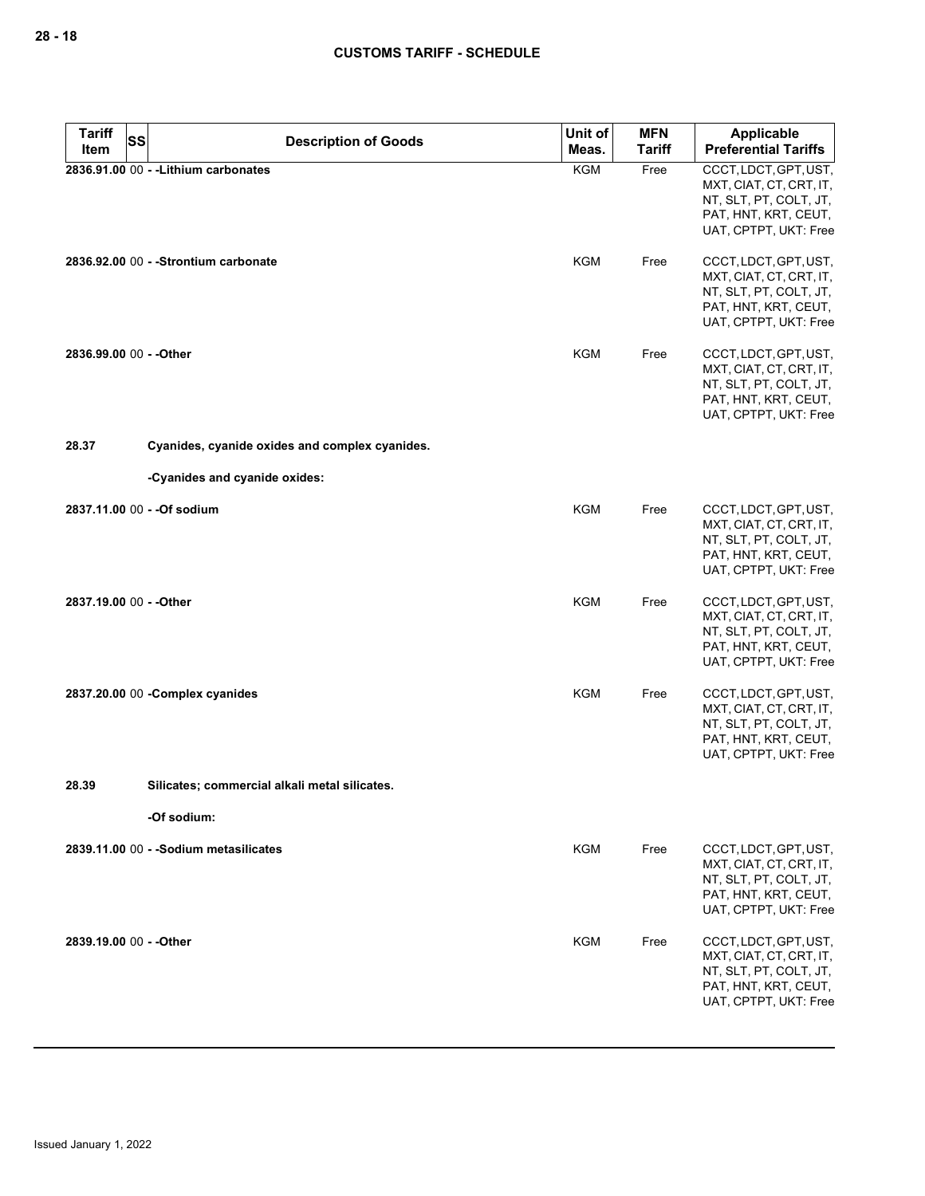| <b>Tariff</b><br><b>SS</b> | <b>Description of Goods</b>                    | Unit of    | <b>MFN</b>    | Applicable                                                                                                                  |
|----------------------------|------------------------------------------------|------------|---------------|-----------------------------------------------------------------------------------------------------------------------------|
| Item                       |                                                | Meas.      | <b>Tariff</b> | <b>Preferential Tariffs</b>                                                                                                 |
|                            | 2836.91.00 00 - - Lithium carbonates           | <b>KGM</b> | Free          | CCCT, LDCT, GPT, UST,<br>MXT, CIAT, CT, CRT, IT,<br>NT, SLT, PT, COLT, JT,<br>PAT, HNT, KRT, CEUT,<br>UAT, CPTPT, UKT: Free |
|                            | 2836.92.00 00 - - Strontium carbonate          | KGM        | Free          | CCCT, LDCT, GPT, UST,<br>MXT, CIAT, CT, CRT, IT,<br>NT, SLT, PT, COLT, JT,<br>PAT, HNT, KRT, CEUT,<br>UAT, CPTPT, UKT: Free |
| 2836.99.00 00 - - Other    |                                                | KGM        | Free          | CCCT, LDCT, GPT, UST,<br>MXT, CIAT, CT, CRT, IT,<br>NT, SLT, PT, COLT, JT,<br>PAT, HNT, KRT, CEUT,<br>UAT, CPTPT, UKT: Free |
| 28.37                      | Cyanides, cyanide oxides and complex cyanides. |            |               |                                                                                                                             |
|                            | -Cyanides and cyanide oxides:                  |            |               |                                                                                                                             |
|                            | 2837.11.00 00 - - Of sodium                    | <b>KGM</b> | Free          | CCCT, LDCT, GPT, UST,<br>MXT, CIAT, CT, CRT, IT,<br>NT, SLT, PT, COLT, JT,<br>PAT, HNT, KRT, CEUT,<br>UAT, CPTPT, UKT: Free |
| 2837.19.00 00 - - Other    |                                                | <b>KGM</b> | Free          | CCCT, LDCT, GPT, UST,<br>MXT, CIAT, CT, CRT, IT,<br>NT, SLT, PT, COLT, JT,<br>PAT, HNT, KRT, CEUT,<br>UAT, CPTPT, UKT: Free |
|                            | 2837.20.00 00 - Complex cyanides               | KGM        | Free          | CCCT, LDCT, GPT, UST,<br>MXT, CIAT, CT, CRT, IT,<br>NT, SLT, PT, COLT, JT,<br>PAT, HNT, KRT, CEUT,<br>UAT, CPTPT, UKT: Free |
| 28.39                      | Silicates; commercial alkali metal silicates.  |            |               |                                                                                                                             |
|                            | -Of sodium:                                    |            |               |                                                                                                                             |
|                            | 2839.11.00 00 - - Sodium metasilicates         | KGM        | Free          | CCCT, LDCT, GPT, UST,<br>MXT, CIAT, CT, CRT, IT,<br>NT, SLT, PT, COLT, JT,<br>PAT, HNT, KRT, CEUT,<br>UAT, CPTPT, UKT: Free |
| 2839.19.00 00 - - Other    |                                                | KGM        | Free          | CCCT, LDCT, GPT, UST,<br>MXT, CIAT, CT, CRT, IT,<br>NT, SLT, PT, COLT, JT,<br>PAT, HNT, KRT, CEUT,<br>UAT, CPTPT, UKT: Free |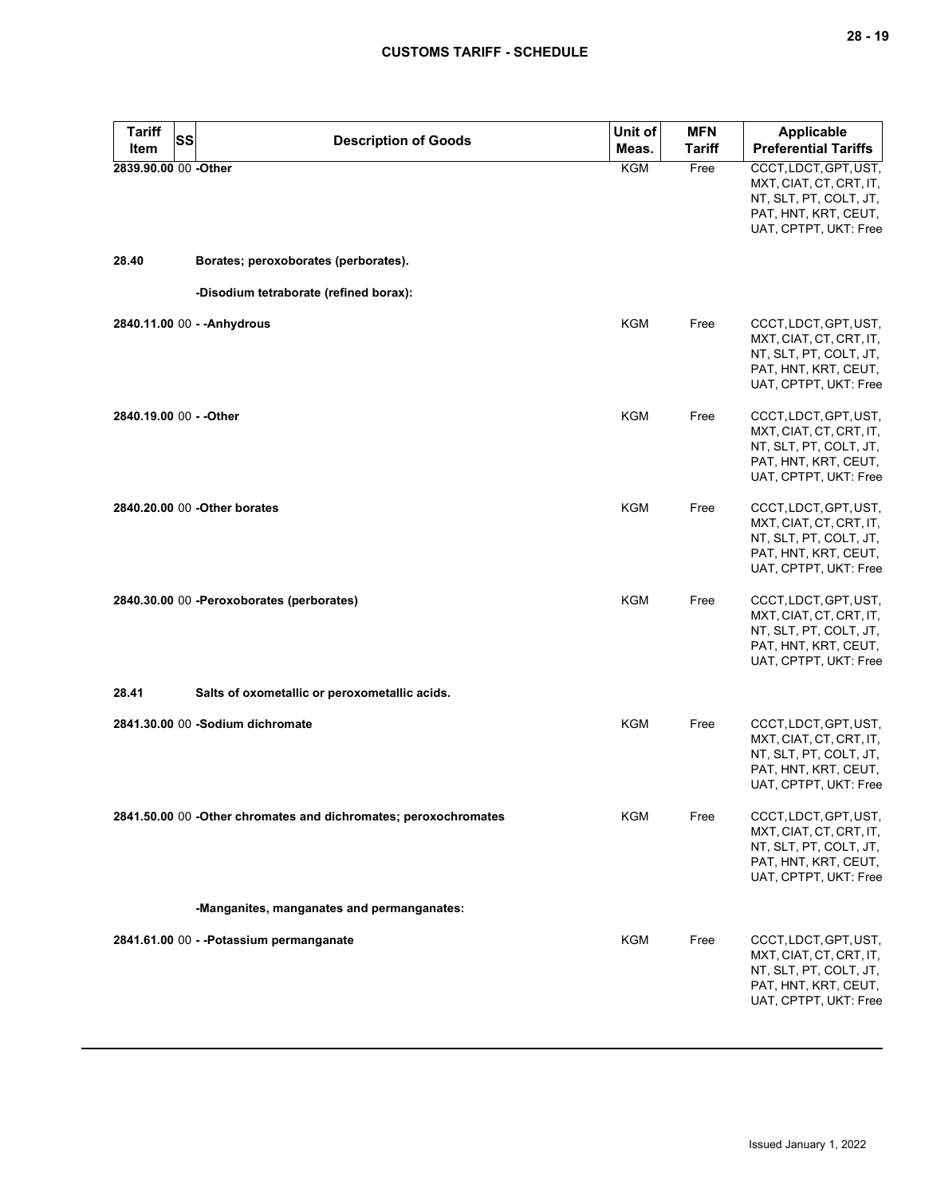| <b>Tariff</b><br>SS<br>Item | <b>Description of Goods</b>                                     | Unit of<br>Meas. | <b>MFN</b><br><b>Tariff</b> | Applicable<br><b>Preferential Tariffs</b>                                                                                   |
|-----------------------------|-----------------------------------------------------------------|------------------|-----------------------------|-----------------------------------------------------------------------------------------------------------------------------|
| 2839.90.00 00 -Other        |                                                                 | <b>KGM</b>       | Free                        | CCCT, LDCT, GPT, UST,<br>MXT, CIAT, CT, CRT, IT,<br>NT, SLT, PT, COLT, JT,<br>PAT, HNT, KRT, CEUT,<br>UAT, CPTPT, UKT: Free |
| 28.40                       | Borates; peroxoborates (perborates).                            |                  |                             |                                                                                                                             |
|                             | -Disodium tetraborate (refined borax):                          |                  |                             |                                                                                                                             |
|                             | 2840.11.00 00 - - Anhydrous                                     | <b>KGM</b>       | Free                        | CCCT, LDCT, GPT, UST,<br>MXT, CIAT, CT, CRT, IT,<br>NT, SLT, PT, COLT, JT,<br>PAT, HNT, KRT, CEUT,<br>UAT, CPTPT, UKT: Free |
| 2840.19.00 00 - - Other     |                                                                 | <b>KGM</b>       | Free                        | CCCT, LDCT, GPT, UST,<br>MXT, CIAT, CT, CRT, IT,<br>NT, SLT, PT, COLT, JT,<br>PAT, HNT, KRT, CEUT,<br>UAT, CPTPT, UKT: Free |
|                             | 2840.20.00 00 -Other borates                                    | <b>KGM</b>       | Free                        | CCCT, LDCT, GPT, UST,<br>MXT, CIAT, CT, CRT, IT,<br>NT, SLT, PT, COLT, JT,<br>PAT, HNT, KRT, CEUT,<br>UAT, CPTPT, UKT: Free |
|                             | 2840.30.00 00 - Peroxoborates (perborates)                      | KGM              | Free                        | CCCT, LDCT, GPT, UST,<br>MXT, CIAT, CT, CRT, IT,<br>NT, SLT, PT, COLT, JT,<br>PAT, HNT, KRT, CEUT,<br>UAT, CPTPT, UKT: Free |
| 28.41                       | Salts of oxometallic or peroxometallic acids.                   |                  |                             |                                                                                                                             |
|                             | 2841.30.00 00 -Sodium dichromate                                | KGM              | Free                        | CCCT, LDCT, GPT, UST,<br>MXT, CIAT, CT, CRT, IT,<br>NT, SLT, PT, COLT, JT,<br>PAT, HNT, KRT, CEUT,<br>UAT, CPTPT, UKT: Free |
|                             | 2841.50.00 00 -Other chromates and dichromates; peroxochromates | KGM              | Free                        | CCCT, LDCT, GPT, UST,<br>MXT, CIAT, CT, CRT, IT,<br>NT, SLT, PT, COLT, JT,<br>PAT, HNT, KRT, CEUT,<br>UAT, CPTPT, UKT: Free |
|                             | -Manganites, manganates and permanganates:                      |                  |                             |                                                                                                                             |
|                             | 2841.61.00 00 - -Potassium permanganate                         | KGM              | Free                        | CCCT, LDCT, GPT, UST,<br>MXT, CIAT, CT, CRT, IT,<br>NT, SLT, PT, COLT, JT,<br>PAT, HNT, KRT, CEUT,<br>UAT, CPTPT, UKT: Free |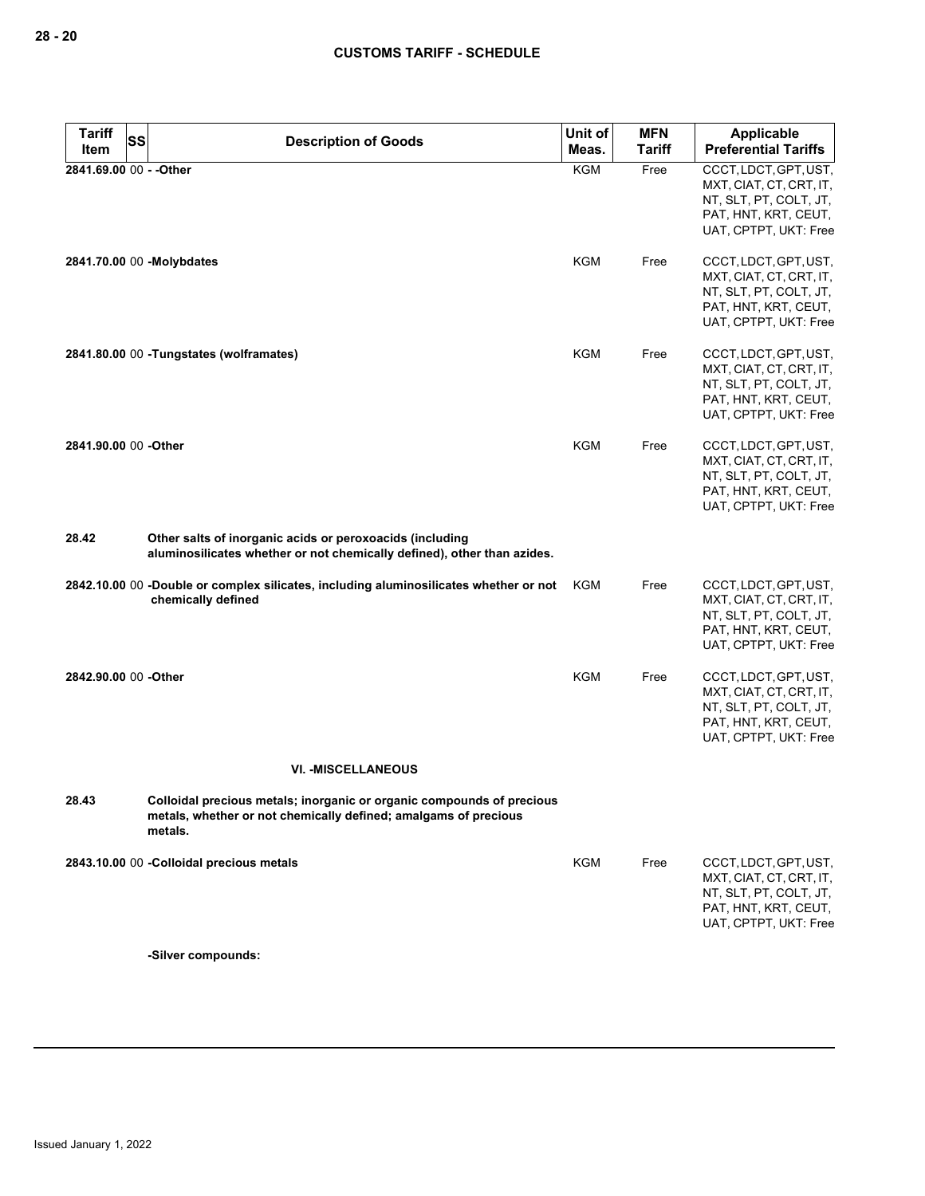| <b>Tariff</b><br><b>SS</b> | <b>Description of Goods</b>                                                                                                                         | Unit of    | <b>MFN</b>    | <b>Applicable</b>                                                                                                           |
|----------------------------|-----------------------------------------------------------------------------------------------------------------------------------------------------|------------|---------------|-----------------------------------------------------------------------------------------------------------------------------|
| Item                       |                                                                                                                                                     | Meas.      | <b>Tariff</b> | <b>Preferential Tariffs</b>                                                                                                 |
| 2841.69.00 00 - - Other    |                                                                                                                                                     | <b>KGM</b> | Free          | CCCT, LDCT, GPT, UST,<br>MXT, CIAT, CT, CRT, IT,<br>NT, SLT, PT, COLT, JT,<br>PAT, HNT, KRT, CEUT,<br>UAT, CPTPT, UKT: Free |
|                            | 2841.70.00 00 -Molybdates                                                                                                                           | KGM        | Free          | CCCT, LDCT, GPT, UST,<br>MXT, CIAT, CT, CRT, IT,<br>NT, SLT, PT, COLT, JT,<br>PAT, HNT, KRT, CEUT,<br>UAT, CPTPT, UKT: Free |
|                            | 2841.80.00 00 - Tungstates (wolframates)                                                                                                            | KGM        | Free          | CCCT, LDCT, GPT, UST,<br>MXT, CIAT, CT, CRT, IT,<br>NT, SLT, PT, COLT, JT,<br>PAT, HNT, KRT, CEUT,<br>UAT, CPTPT, UKT: Free |
| 2841.90.00 00 -Other       |                                                                                                                                                     | <b>KGM</b> | Free          | CCCT, LDCT, GPT, UST,<br>MXT, CIAT, CT, CRT, IT,<br>NT, SLT, PT, COLT, JT,<br>PAT, HNT, KRT, CEUT,<br>UAT, CPTPT, UKT: Free |
| 28.42                      | Other salts of inorganic acids or peroxoacids (including<br>aluminosilicates whether or not chemically defined), other than azides.                 |            |               |                                                                                                                             |
|                            | 2842.10.00 00 -Double or complex silicates, including aluminosilicates whether or not<br>chemically defined                                         | KGM        | Free          | CCCT, LDCT, GPT, UST,<br>MXT, CIAT, CT, CRT, IT,<br>NT, SLT, PT, COLT, JT,<br>PAT, HNT, KRT, CEUT,<br>UAT, CPTPT, UKT: Free |
| 2842.90.00 00 -Other       |                                                                                                                                                     | KGM        | Free          | CCCT, LDCT, GPT, UST,<br>MXT, CIAT, CT, CRT, IT,<br>NT, SLT, PT, COLT, JT,<br>PAT, HNT, KRT, CEUT,<br>UAT, CPTPT, UKT: Free |
|                            | <b>VI. - MISCELLANEOUS</b>                                                                                                                          |            |               |                                                                                                                             |
| 28.43                      | Colloidal precious metals; inorganic or organic compounds of precious<br>metals, whether or not chemically defined; amalgams of precious<br>metals. |            |               |                                                                                                                             |
|                            | 2843.10.00 00 -Colloidal precious metals                                                                                                            | <b>KGM</b> | Free          | CCCT, LDCT, GPT, UST,<br>MXT, CIAT, CT, CRT, IT,<br>NT, SLT, PT, COLT, JT,<br>PAT, HNT, KRT, CEUT,<br>UAT, CPTPT, UKT: Free |
|                            | -Silver compounds:                                                                                                                                  |            |               |                                                                                                                             |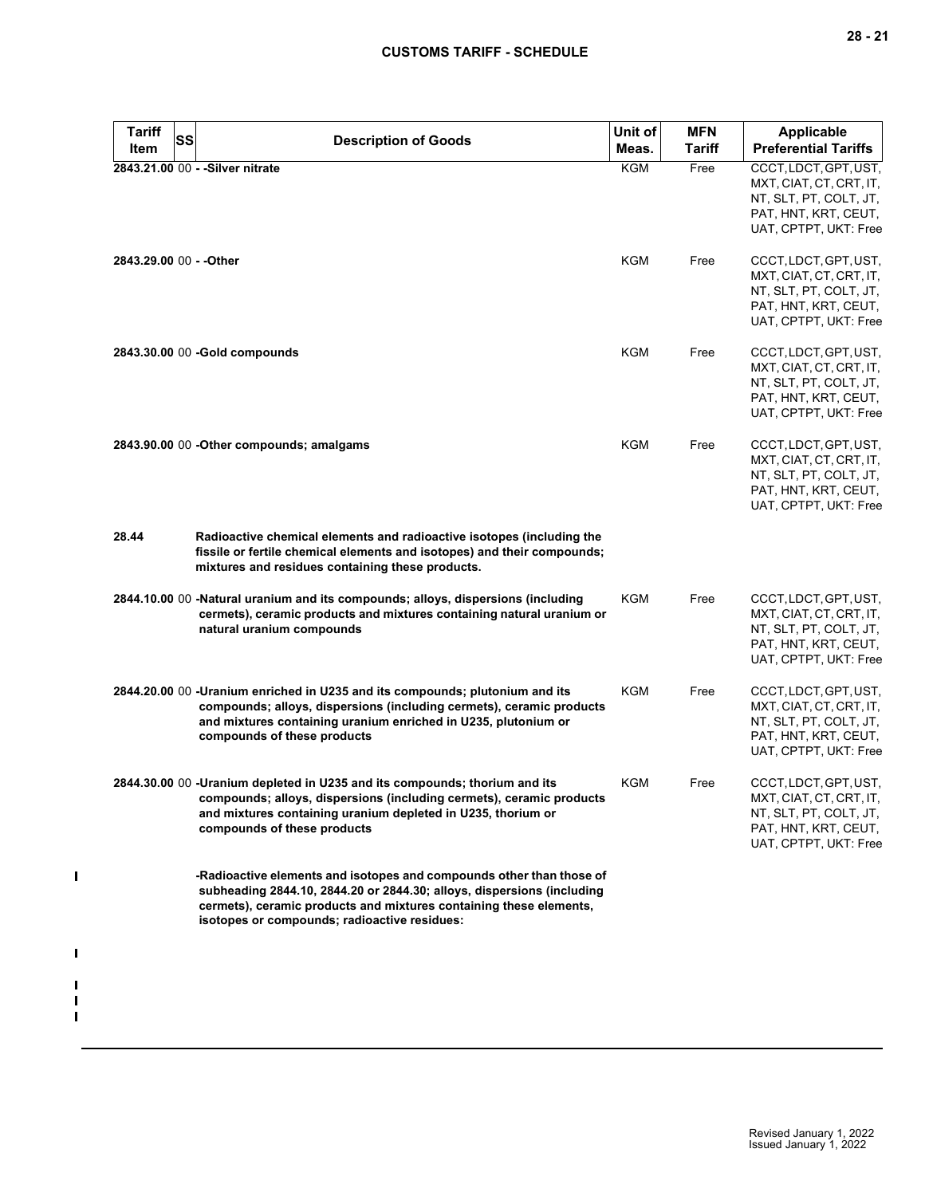| <b>SS</b> | <b>Description of Goods</b>                                                                                                                                                                                                                                          | Unit of<br>Meas. | <b>MFN</b><br><b>Tariff</b> | Applicable<br><b>Preferential Tariffs</b>                                                                                   |
|-----------|----------------------------------------------------------------------------------------------------------------------------------------------------------------------------------------------------------------------------------------------------------------------|------------------|-----------------------------|-----------------------------------------------------------------------------------------------------------------------------|
|           | 2843.21.00 00 - - Silver nitrate                                                                                                                                                                                                                                     | <b>KGM</b>       | Free                        | CCCT, LDCT, GPT, UST,<br>MXT, CIAT, CT, CRT, IT,<br>NT, SLT, PT, COLT, JT,<br>PAT, HNT, KRT, CEUT,<br>UAT, CPTPT, UKT: Free |
|           | 2843.29.00 00 - - Other                                                                                                                                                                                                                                              | KGM              | Free                        | CCCT, LDCT, GPT, UST,<br>MXT, CIAT, CT, CRT, IT,<br>NT, SLT, PT, COLT, JT,<br>PAT, HNT, KRT, CEUT,<br>UAT, CPTPT, UKT: Free |
|           | 2843.30.00 00 - Gold compounds                                                                                                                                                                                                                                       | KGM              | Free                        | CCCT, LDCT, GPT, UST,<br>MXT, CIAT, CT, CRT, IT,<br>NT, SLT, PT, COLT, JT,<br>PAT, HNT, KRT, CEUT,<br>UAT, CPTPT, UKT: Free |
|           | 2843.90.00 00 - Other compounds; amalgams                                                                                                                                                                                                                            | <b>KGM</b>       | Free                        | CCCT, LDCT, GPT, UST,<br>MXT, CIAT, CT, CRT, IT,<br>NT, SLT, PT, COLT, JT,<br>PAT, HNT, KRT, CEUT,<br>UAT, CPTPT, UKT: Free |
|           | Radioactive chemical elements and radioactive isotopes (including the<br>fissile or fertile chemical elements and isotopes) and their compounds;<br>mixtures and residues containing these products.                                                                 |                  |                             |                                                                                                                             |
|           | 2844.10.00 00 -Natural uranium and its compounds; alloys, dispersions (including<br>cermets), ceramic products and mixtures containing natural uranium or<br>natural uranium compounds                                                                               | KGM              | Free                        | CCCT, LDCT, GPT, UST,<br>MXT, CIAT, CT, CRT, IT,<br>NT, SLT, PT, COLT, JT,<br>PAT, HNT, KRT, CEUT,<br>UAT, CPTPT, UKT: Free |
|           | 2844.20.00 00 - Uranium enriched in U235 and its compounds; plutonium and its<br>compounds; alloys, dispersions (including cermets), ceramic products<br>and mixtures containing uranium enriched in U235, plutonium or<br>compounds of these products               | <b>KGM</b>       | Free                        | CCCT, LDCT, GPT, UST,<br>MXT, CIAT, CT, CRT, IT,<br>NT, SLT, PT, COLT, JT,<br>PAT, HNT, KRT, CEUT,<br>UAT, CPTPT, UKT: Free |
|           | 2844.30.00 00 -Uranium depleted in U235 and its compounds; thorium and its<br>compounds; alloys, dispersions (including cermets), ceramic products<br>and mixtures containing uranium depleted in U235, thorium or<br>compounds of these products                    | KGM              | Free                        | CCCT, LDCT, GPT, UST,<br>MXT, CIAT, CT, CRT, IT,<br>NT, SLT, PT, COLT, JT,<br>PAT, HNT, KRT, CEUT,<br>UAT, CPTPT, UKT: Free |
|           | -Radioactive elements and isotopes and compounds other than those of<br>subheading 2844.10, 2844.20 or 2844.30; alloys, dispersions (including<br>cermets), ceramic products and mixtures containing these elements,<br>isotopes or compounds; radioactive residues: |                  |                             |                                                                                                                             |
|           |                                                                                                                                                                                                                                                                      |                  |                             |                                                                                                                             |

 $\mathbf{I}$ 

 $\blacksquare$ 

 $\blacksquare$  $\blacksquare$  $\blacksquare$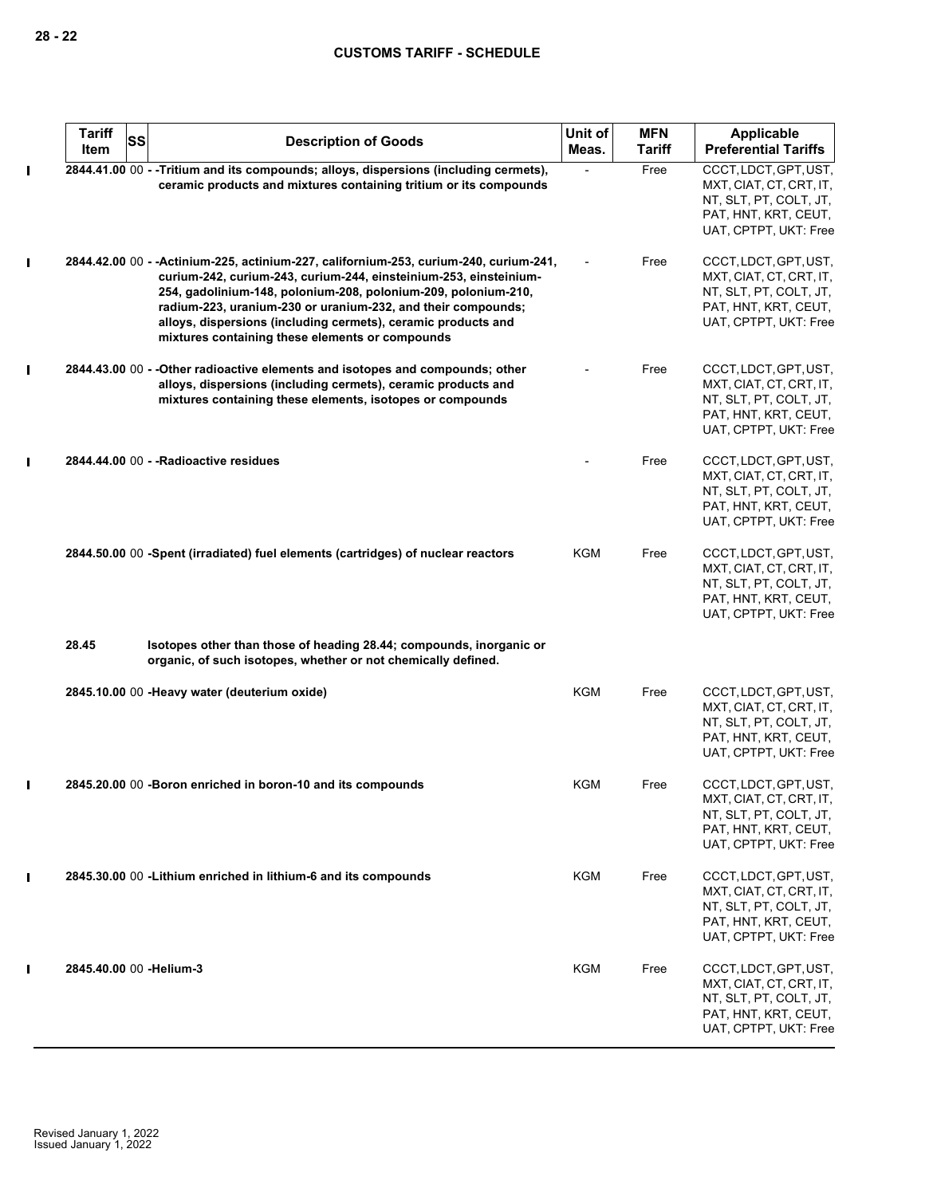|                | <b>Tariff</b><br>SS<br>Item | <b>Description of Goods</b>                                                                                                                                                                                                                                                                                                                                                                                       | Unit of<br>Meas. | <b>MFN</b><br><b>Tariff</b> | Applicable<br><b>Preferential Tariffs</b>                                                                                   |
|----------------|-----------------------------|-------------------------------------------------------------------------------------------------------------------------------------------------------------------------------------------------------------------------------------------------------------------------------------------------------------------------------------------------------------------------------------------------------------------|------------------|-----------------------------|-----------------------------------------------------------------------------------------------------------------------------|
| $\blacksquare$ |                             | 2844.41.00 00 - - Tritium and its compounds; alloys, dispersions (including cermets),<br>ceramic products and mixtures containing tritium or its compounds                                                                                                                                                                                                                                                        |                  | Free                        | CCCT, LDCT, GPT, UST,<br>MXT, CIAT, CT, CRT, IT,<br>NT, SLT, PT, COLT, JT,<br>PAT, HNT, KRT, CEUT,<br>UAT, CPTPT, UKT: Free |
| $\blacksquare$ |                             | 2844.42.00 00 - - Actinium-225, actinium-227, californium-253, curium-240, curium-241,<br>curium-242, curium-243, curium-244, einsteinium-253, einsteinium-<br>254, gadolinium-148, polonium-208, polonium-209, polonium-210,<br>radium-223, uranium-230 or uranium-232, and their compounds;<br>alloys, dispersions (including cermets), ceramic products and<br>mixtures containing these elements or compounds |                  | Free                        | CCCT, LDCT, GPT, UST,<br>MXT, CIAT, CT, CRT, IT,<br>NT, SLT, PT, COLT, JT,<br>PAT, HNT, KRT, CEUT,<br>UAT, CPTPT, UKT: Free |
| $\blacksquare$ |                             | 2844.43.00 00 - - Other radioactive elements and isotopes and compounds; other<br>alloys, dispersions (including cermets), ceramic products and<br>mixtures containing these elements, isotopes or compounds                                                                                                                                                                                                      |                  | Free                        | CCCT, LDCT, GPT, UST,<br>MXT, CIAT, CT, CRT, IT,<br>NT, SLT, PT, COLT, JT,<br>PAT, HNT, KRT, CEUT,<br>UAT, CPTPT, UKT: Free |
| I              |                             | 2844.44.00 00 - - Radioactive residues                                                                                                                                                                                                                                                                                                                                                                            |                  | Free                        | CCCT, LDCT, GPT, UST,<br>MXT, CIAT, CT, CRT, IT,<br>NT, SLT, PT, COLT, JT,<br>PAT, HNT, KRT, CEUT,<br>UAT, CPTPT, UKT: Free |
|                |                             | 2844.50.00 00 -Spent (irradiated) fuel elements (cartridges) of nuclear reactors                                                                                                                                                                                                                                                                                                                                  | KGM              | Free                        | CCCT, LDCT, GPT, UST,<br>MXT, CIAT, CT, CRT, IT,<br>NT, SLT, PT, COLT, JT,<br>PAT, HNT, KRT, CEUT,<br>UAT, CPTPT, UKT: Free |
|                | 28.45                       | Isotopes other than those of heading 28.44; compounds, inorganic or<br>organic, of such isotopes, whether or not chemically defined.                                                                                                                                                                                                                                                                              |                  |                             |                                                                                                                             |
|                |                             | 2845.10.00 00 - Heavy water (deuterium oxide)                                                                                                                                                                                                                                                                                                                                                                     | <b>KGM</b>       | Free                        | CCCT, LDCT, GPT, UST,<br>MXT, CIAT, CT, CRT, IT,<br>NT, SLT, PT, COLT, JT,<br>PAT, HNT, KRT, CEUT,<br>UAT, CPTPT, UKT: Free |
| П              |                             | 2845.20.00 00 -Boron enriched in boron-10 and its compounds                                                                                                                                                                                                                                                                                                                                                       | KGM              | Free                        | CCCT, LDCT, GPT, UST,<br>MXT, CIAT, CT, CRT, IT,<br>NT, SLT, PT, COLT, JT,<br>PAT, HNT, KRT, CEUT,<br>UAT, CPTPT, UKT: Free |
| $\blacksquare$ |                             | 2845.30.00 00 - Lithium enriched in lithium-6 and its compounds                                                                                                                                                                                                                                                                                                                                                   | <b>KGM</b>       | Free                        | CCCT, LDCT, GPT, UST,<br>MXT, CIAT, CT, CRT, IT,<br>NT, SLT, PT, COLT, JT,<br>PAT, HNT, KRT, CEUT,<br>UAT, CPTPT, UKT: Free |
| $\blacksquare$ | 2845.40.00 00 -Helium-3     |                                                                                                                                                                                                                                                                                                                                                                                                                   | <b>KGM</b>       | Free                        | CCCT, LDCT, GPT, UST,<br>MXT, CIAT, CT, CRT, IT,<br>NT, SLT, PT, COLT, JT,<br>PAT, HNT, KRT, CEUT,<br>UAT, CPTPT, UKT: Free |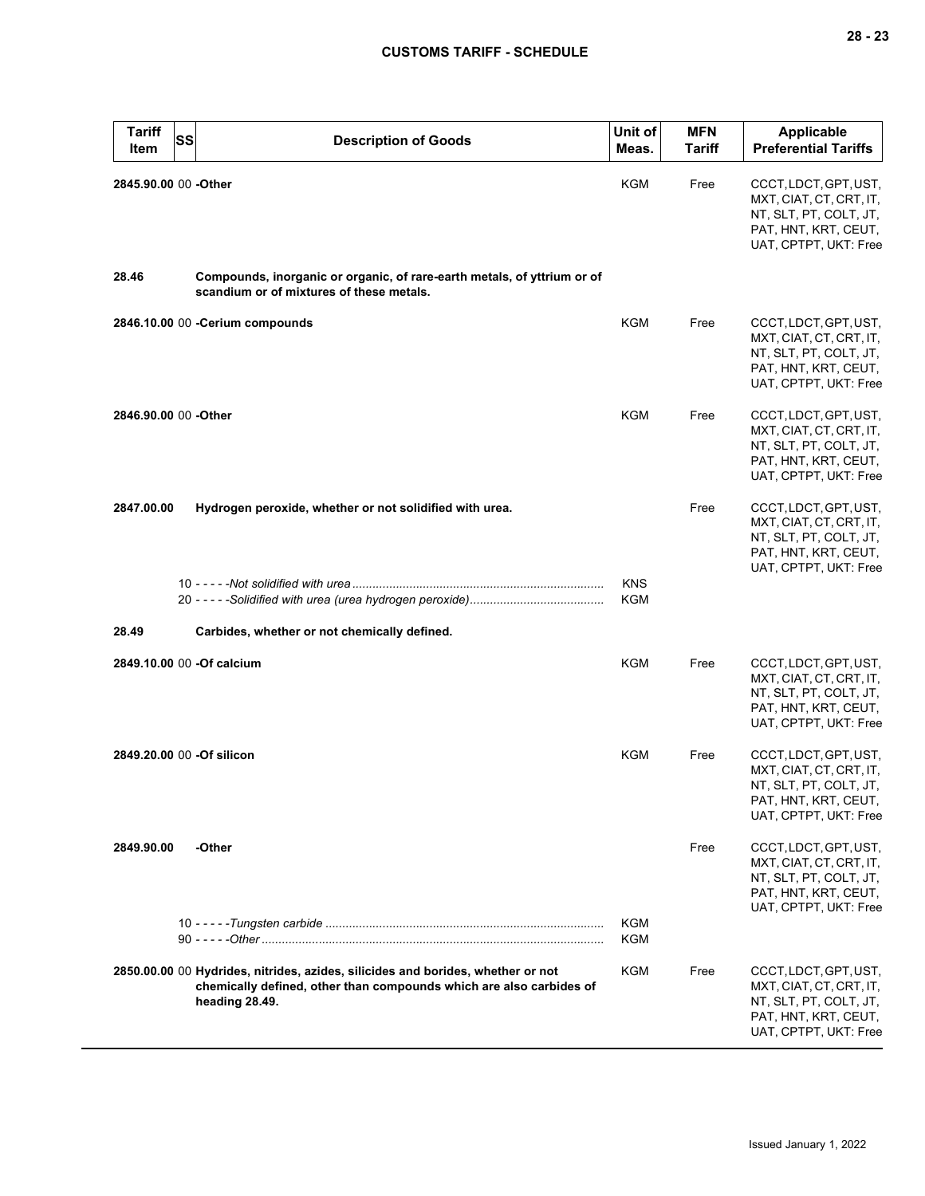| <b>Tariff</b><br>Item     | SS<br><b>Description of Goods</b>                                                                                                                                        | Unit of<br>Meas. | <b>MFN</b><br>Tariff | <b>Applicable</b><br><b>Preferential Tariffs</b>                                                                            |
|---------------------------|--------------------------------------------------------------------------------------------------------------------------------------------------------------------------|------------------|----------------------|-----------------------------------------------------------------------------------------------------------------------------|
| 2845.90.00 00 - Other     |                                                                                                                                                                          | KGM              | Free                 | CCCT, LDCT, GPT, UST,<br>MXT, CIAT, CT, CRT, IT,<br>NT, SLT, PT, COLT, JT,<br>PAT, HNT, KRT, CEUT,<br>UAT, CPTPT, UKT: Free |
| 28.46                     | Compounds, inorganic or organic, of rare-earth metals, of yttrium or of<br>scandium or of mixtures of these metals.                                                      |                  |                      |                                                                                                                             |
|                           | 2846.10.00 00 -Cerium compounds                                                                                                                                          | <b>KGM</b>       | Free                 | CCCT, LDCT, GPT, UST,<br>MXT, CIAT, CT, CRT, IT,<br>NT, SLT, PT, COLT, JT,<br>PAT, HNT, KRT, CEUT,<br>UAT, CPTPT, UKT: Free |
| 2846.90.00 00 -Other      |                                                                                                                                                                          | KGM              | Free                 | CCCT, LDCT, GPT, UST,<br>MXT, CIAT, CT, CRT, IT,<br>NT, SLT, PT, COLT, JT,<br>PAT, HNT, KRT, CEUT,<br>UAT, CPTPT, UKT: Free |
| 2847.00.00                | Hydrogen peroxide, whether or not solidified with urea.                                                                                                                  | <b>KNS</b>       | Free                 | CCCT, LDCT, GPT, UST,<br>MXT, CIAT, CT, CRT, IT,<br>NT, SLT, PT, COLT, JT,<br>PAT, HNT, KRT, CEUT,<br>UAT, CPTPT, UKT: Free |
|                           |                                                                                                                                                                          | <b>KGM</b>       |                      |                                                                                                                             |
| 28.49                     | Carbides, whether or not chemically defined.                                                                                                                             |                  |                      |                                                                                                                             |
|                           | 2849.10.00 00 -Of calcium                                                                                                                                                | KGM              | Free                 | CCCT, LDCT, GPT, UST,<br>MXT, CIAT, CT, CRT, IT,<br>NT, SLT, PT, COLT, JT,<br>PAT, HNT, KRT, CEUT,<br>UAT, CPTPT, UKT: Free |
| 2849.20.00 00 -Of silicon |                                                                                                                                                                          | KGM              | Free                 | CCCT, LDCT, GPT, UST,<br>MXT, CIAT, CT, CRT, IT,<br>NT, SLT, PT, COLT, JT,<br>PAT, HNT, KRT, CEUT,<br>UAT, CPTPT, UKT: Free |
| 2849.90.00                | -Other                                                                                                                                                                   |                  | Free                 | CCCT, LDCT, GPT, UST,<br>MXT, CIAT, CT, CRT, IT,<br>NT, SLT, PT, COLT, JT,<br>PAT, HNT, KRT, CEUT,<br>UAT, CPTPT, UKT: Free |
|                           |                                                                                                                                                                          | KGM<br>KGM       |                      |                                                                                                                             |
|                           | 2850.00.00 00 Hydrides, nitrides, azides, silicides and borides, whether or not<br>chemically defined, other than compounds which are also carbides of<br>heading 28.49. | KGM              | Free                 | CCCT, LDCT, GPT, UST,<br>MXT, CIAT, CT, CRT, IT,<br>NT, SLT, PT, COLT, JT,<br>PAT, HNT, KRT, CEUT,<br>UAT, CPTPT, UKT: Free |